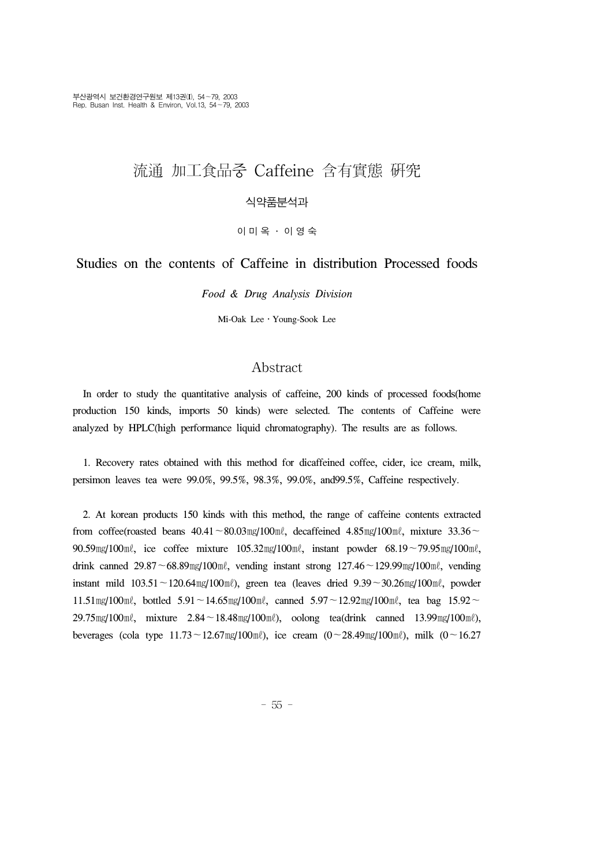# 流通 加工食品중 Caffeine 含有實態 硏究

## 식약품분석과

이미옥 ․ 이영숙

# Studies on the contents of Caffeine in distribution Processed foods

*Food & Drug Analysis Division*

Mi-Oak Lee․Young-Sook Lee

## Abstract

 In order to study the quantitative analysis of caffeine, 200 kinds of processed foods(home production 150 kinds, imports 50 kinds) were selected. The contents of Caffeine were analyzed by HPLC(high performance liquid chromatography). The results are as follows.

 1. Recovery rates obtained with this method for dicaffeined coffee, cider, ice cream, milk, persimon leaves tea were 99.0%, 99.5%, 98.3%, 99.0%, and99.5%, Caffeine respectively.

 2. At korean products 150 kinds with this method, the range of caffeine contents extracted from coffee(roasted beans 40.41∼80.03㎎/100㎖, decaffeined 4.85㎎/100㎖, mixture 33.36∼ 90.59㎎/100㎖, ice coffee mixture 105.32㎎/100㎖, instant powder 68.19∼79.95㎎/100㎖, drink canned 29.87∼68.89㎎/100㎖, vending instant strong 127.46∼129.99㎎/100㎖, vending instant mild 103.51∼120.64㎎/100㎖), green tea (leaves dried 9.39∼30.26㎎/100㎖, powder 11.51㎎/100㎖, bottled 5.91∼14.65㎎/100㎖, canned 5.97∼12.92㎎/100㎖, tea bag 15.92∼ 29.75㎎/100㎖, mixture 2.84∼18.48㎎/100㎖), oolong tea(drink canned 13.99㎎/100㎖), beverages (cola type 11.73∼12.67㎎/100㎖), ice cream (0∼28.49㎎/100㎖), milk (0∼16.27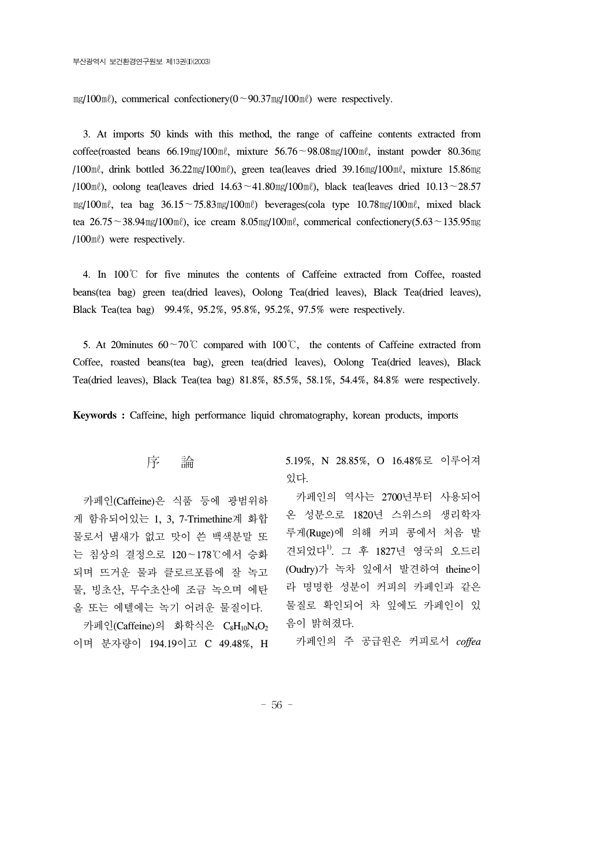㎎/100㎖), commerical confectionery(0∼90.37㎎/100㎖) were respectively.

 3. At imports 50 kinds with this method, the range of caffeine contents extracted from coffee(roasted beans 66.19㎎/100㎖, mixture 56.76∼98.08㎎/100㎖, instant powder 80.36㎎ /100㎖, drink bottled 36.22㎎/100㎖), green tea(leaves dried 39.16㎎/100㎖, mixture 15.86㎎ /100㎖), oolong tea(leaves dried 14.63∼41.80㎎/100㎖), black tea(leaves dried 10.13∼28.57 ㎎/100㎖, tea bag 36.15∼75.83㎎/100㎖) beverages(cola type 10.78㎎/100㎖, mixed black tea 26.75∼38.94㎎/100㎖), ice cream 8.05㎎/100㎖, commerical confectionery(5.63∼135.95㎎ /100㎖) were respectively.

 4. In 100℃ for five minutes the contents of Caffeine extracted from Coffee, roasted beans(tea bag) green tea(dried leaves), Oolong Tea(dried leaves), Black Tea(dried leaves), Black Tea(tea bag) 99.4%, 95.2%, 95.8%, 95.2%, 97.5% were respectively.

 5. At 20minutes 60∼70℃ compared with 100℃, the contents of Caffeine extracted from Coffee, roasted beans(tea bag), green tea(dried leaves), Oolong Tea(dried leaves), Black Tea(dried leaves), Black Tea(tea bag) 81.8%, 85.5%, 58.1%, 54.4%, 84.8% were respectively.

**Keywords :** Caffeine, high performance liquid chromatography, korean products, imports

## 序 論

 카페인(Caffeine)은 식품 등에 광범위하 게 함유되어있는 1, 3, 7-Trimethine계 화합 물로서 냄새가 없고 맛이 쓴 백색분말 또 는 침상의 결정으로 120∼178℃에서 승화 되며 뜨거운 물과 클로르포름에 잘 녹고 물, 빙초산, 무수초산에 조금 녹으며 에탄 올 또는 에텔에는 녹기 어려운 물질이다. 카페인(Caffeine)의 화학식은 C<sub>8</sub>H<sub>10</sub>N<sub>4</sub>O<sub>2</sub> 이며 분자량이 194.19이고 C 49.48%, H 5.19%, N 28.85%, O 16.48%로 이루어져 있다.

 카페인의 역사는 2700년부터 사용되어 온 성분으로 1820년 스위스의 생리학자 루게(Ruge)에 의해 커피 콩에서 처음 발 견되었다<sup>1)</sup>. 그 후 1827년 영국의 오드리 (Oudry)가 녹차 잎에서 발견하여 theine이 라 명명한 성분이 커피의 카페인과 같은 물질로 확인되어 차 잎에도 카페인이 있 음이 밝혀졌다.

카페인의 주 공급원은 커피로서 *coffea* 

- 56 -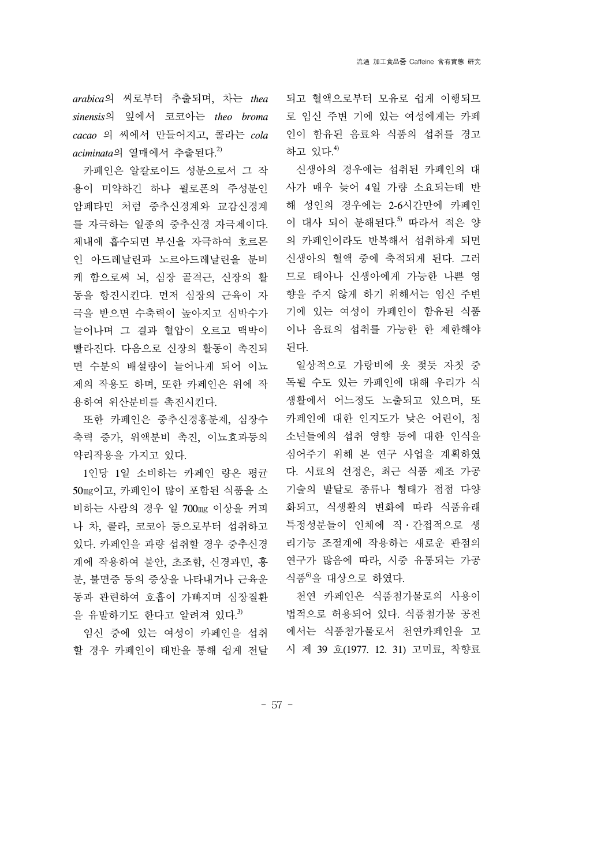*arabica*의 씨로부터 추출되며, 차는 *thea sinensis*의 잎에서 코코아는 *theo broma cacao* 의 씨에서 만들어지고, 콜라는 *cola aciminata*의 열매에서 추출된다. 2)

 카페인은 알칼로이드 성분으로서 그 작 용이 미약하긴 하나 필로폰의 주성분인 암페타민 처럼 중추신경계와 교감신경계 를 자극하는 일종의 중추신경 자극제이다. 체내에 흡수되면 부신을 자극하여 호르몬 인 아드레날린과 노르아드레날린을 분비 케 함으로써 뇌, 심장 골격근, 신장의 활 동을 항진시킨다. 먼저 심장의 근육이 자 극을 받으면 수축력이 높아지고 심박수가 늘어나며 그 결과 혈압이 오르고 맥박이 빨라진다. 다음으로 신장의 활동이 촉진되 면 수분의 배설량이 늘어나게 되어 이뇨 제의 작용도 하며, 또한 카페인은 위에 작 용하여 위산분비를 촉진시킨다.

 또한 카페인은 중추신경흥분제, 심장수 축력 증가, 위액분비 촉진, 이뇨효과등의 약리작용을 가지고 있다.

 1인당 1일 소비하는 카페인 량은 평균 50㎎이고, 카페인이 많이 포함된 식품을 소 비하는 사람의 경우 일 700㎎ 이상을 커피 나 차, 콜라, 코코아 등으로부터 섭취하고 있다. 카페인을 과량 섭취할 경우 중추신경 계에 작용하여 불안, 초조함, 신경과민, 흥 분, 불면증 등의 증상을 나타내거나 근육운 동과 관련하여 호흡이 가빠지며 심장질환 을 유발하기도 한다고 알려져 있다.<sup>3)</sup>

 임신 중에 있는 여성이 카페인을 섭취 할 경우 카페인이 태반을 통해 쉽게 전달

되고 혈액으로부터 모유로 쉽게 이행되므 로 임신 주변 기에 있는 여성에게는 카페 인이 함유된 음료와 식품의 섭취를 경고 하고 있다. 4)

 신생아의 경우에는 섭취된 카페인의 대 사가 매우 늦어 4일 가량 소요되는데 반 해 성인의 경우에는 2-6시간만에 카페인 이 대사 되어 분해된다. 5) 따라서 적은 양 의 카페인이라도 반복해서 섭취하게 되면 신생아의 혈액 중에 축적되게 된다. 그러 므로 태아나 신생아에게 가능한 나쁜 영 향을 주지 않게 하기 위해서는 임신 주변 기에 있는 여성이 카페인이 함유된 식품 이나 음료의 섭취를 가능한 한 제한해야 된다.

 일상적으로 가랑비에 옷 젖듯 자칫 중 독될 수도 있는 카페인에 대해 우리가 식 생활에서 어느정도 노출되고 있으며, 또 카페인에 대한 인지도가 낮은 어린이, 청 소년들에의 섭취 영향 등에 대한 인식을 심어주기 위해 본 연구 사업을 계획하였 다. 시료의 선정은, 최근 식품 제조 가공 기술의 발달로 종류나 형태가 점점 다양 화되고, 식생활의 변화에 따라 식품유래 특정성분들이 인체에 직․간접적으로 생 리기능 조절계에 작용하는 새로운 관점의 연구가 많음에 따라, 시중 유통되는 가공 식품<sup>6</sup>을 대상으로 하였다.

 천연 카페인은 식품첨가물로의 사용이 법적으로 허용되어 있다. 식품첨가물 공전 에서는 식품첨가물로서 천연카페인을 고 시 제 39 호(1977. 12. 31) 고미료, 착향료

- 57 -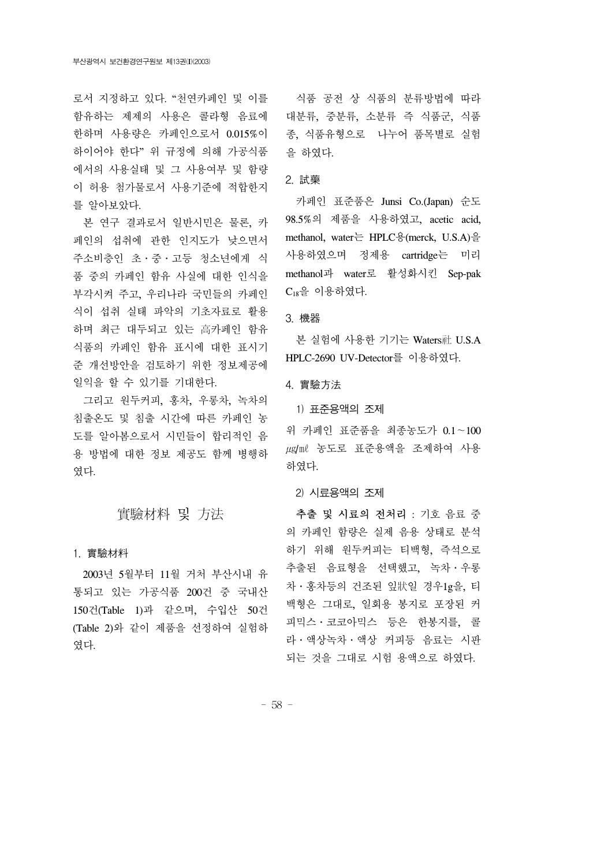함유하는 제제의 사용은 콜라형 음료에 한하며 사용량은 카페인으로서 0.015%이 하이어야 한다" 위 규정에 의해 가공식품 에서의 사용실태 및 그 사용여부 및 함량 이 허용 첨가물로서 사용기준에 적합한지 를 알아보았다.

 본 연구 결과로서 일반시민은 물론, 카 페인의 섭취에 관한 인지도가 낮으면서 주소비층인 초․중․고등 청소년에게 식 품 중의 카페인 함유 사실에 대한 인식을 부각시켜 주고, 우리나라 국민들의 카페인 식이 섭취 실태 파악의 기초자료로 활용 하며 최근 대두되고 있는 高카페인 함유 식품의 카페인 함유 표시에 대한 표시기 준 개선방안을 검토하기 위한 정보제공에 일익을 할 수 있기를 기대한다.

 그리고 원두커피, 홍차, 우롱차, 녹차의 침출온도 및 침출 시간에 따른 카페인 농 도를 알아봄으로서 시민들이 합리적인 음 용 방법에 대한 정보 제공도 함께 병행하 였다.

# 實驗材料 및 方法

#### 1. 實驗材料

 2003년 5월부터 11월 거처 부산시내 유 통되고 있는 가공식품 200건 중 국내산 150건(Table 1)과 같으며, 수입산 50건 (Table 2)와 같이 제품을 선정하여 실험하 였다.

로서 지정하고 있다. "천연카페인 및 이를 식품 공전 상 식품의 분류방법에 따라 대분류, 중분류, 소분류 즉 식품군, 식품 종, 식품유형으로 나누어 품목별로 실험 을 하였다.

#### 2. 試藥

 카페인 표준품은 Junsi Co.(Japan) 순도 98.5%의 제품을 사용하였고, acetic acid, methanol, water는 HPLC용(merck, U.S.A)을 사용하였으며 정제용 cartridge는 미리 methanol과 water로 활성화시킨 Sep-pak C18을 이용하였다.

#### 3. 機器

 본 실험에 사용한 기기는 Waters社 U.S.A HPLC-2690 UV-Detector를 이용하였다.

4. 實驗方法

1) 표준용액의 조제

위 카페인 표준품을 최종농도가 0.1∼100 ㎍/㎖ 농도로 표준용액을 조제하여 사용 하였다.

2) 시료용액의 조제

 추출 및 시료의 전처리 : 기호 음료 중 의 카페인 함량은 실제 음용 상태로 분석 하기 위해 원두커피는 티백형, 즉석으로 추출된 음료형을 선택했고, 녹차․우롱 차․홍차등의 건조된 잎狀일 경우1g을, 티 백형은 그대로, 일회용 봉지로 포장된 커 피믹스․코코아믹스 등은 한봉지를, 콜 라․액상녹차․액상 커피등 음료는 시판 되는 것을 그대로 시험 용액으로 하였다.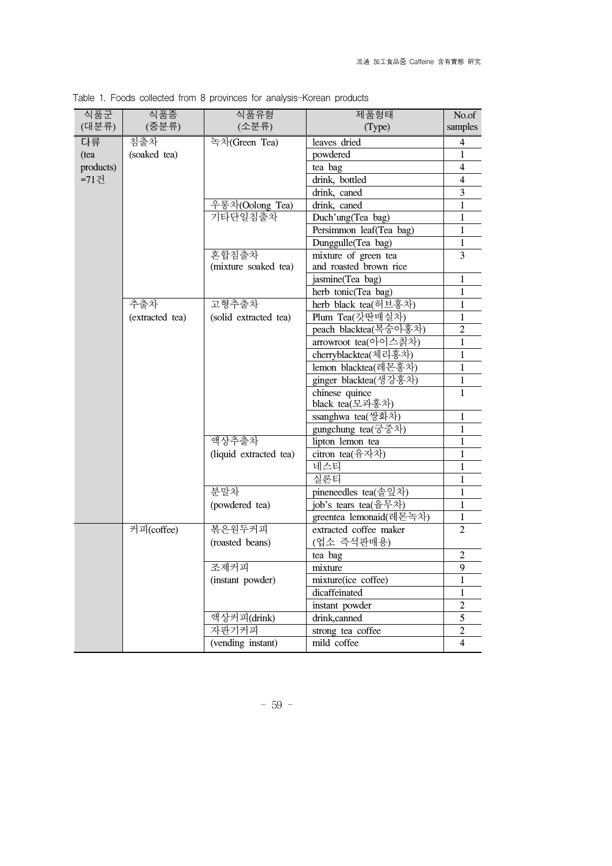| 식품군       | 식품종             | 식품유형                   | 제품형태                    | No.of          |
|-----------|-----------------|------------------------|-------------------------|----------------|
| (대분류)     | (중분류)           | (소분류)                  | (Type)                  | samples        |
| 다류        | 침출차             | 녹차(Green Tea)          | leaves dried            | 4              |
| (tea      | (soaked tea)    |                        | powdered                | 1              |
| products) |                 |                        | tea bag                 | 4              |
| =71건      |                 |                        | drink, bottled          | 4              |
|           |                 |                        | drink, caned            | 3              |
|           |                 | 우롱차(Oolong Tea)        | drink, caned            | 1              |
|           |                 | 기타단일침출차                | Duch'ung(Tea bag)       | $\mathbf 1$    |
|           |                 |                        | Persimmon leaf(Tea bag) | 1              |
|           |                 |                        | Dunggulle(Tea bag)      | $\mathbf{1}$   |
|           |                 | 혼합침출차                  | mixture of green tea    | 3              |
|           |                 | (mixture soaked tea)   | and roasted brown rice  |                |
|           |                 |                        | jasmine(Tea bag)        | $\mathbf 1$    |
|           |                 |                        | herb tonic(Tea bag)     | 1              |
|           | 추출차             | 고형추출차                  | herb black tea(허브홍차)    | $\mathbf{1}$   |
|           | (extracted tea) | (solid extracted tea)  | Plum Tea(갓딴매실차)         | 1              |
|           |                 |                        | peach blacktea(복숭아홍차)   | $\overline{2}$ |
|           |                 |                        | arrowroot tea(아이스칡차)    | 1              |
|           |                 |                        | cherryblacktea(체리홍차)    | 1              |
|           |                 |                        | lemon blacktea(레몬홍차)    | $\mathbf{1}$   |
|           |                 |                        | ginger blacktea(생강홍차)   | 1              |
|           |                 |                        | chinese quince          | $\mathbf{1}$   |
|           |                 |                        | black tea(모과홍차)         |                |
|           |                 |                        | ssanghwa tea(쌍화차)       | 1              |
|           |                 |                        | gungchung tea(궁중차)      | $\mathbf{1}$   |
|           |                 | 액상추출차                  | lipton lemon tea        | 1              |
|           |                 | (liquid extracted tea) | citron tea(유자차)         | 1              |
|           |                 |                        | 네스티                     | 1              |
|           |                 |                        | 실론티                     | $\mathbf{1}$   |
|           |                 | 분말차                    | pineneedles tea(솔잎차)    | 1              |
|           |                 | (powdered tea)         | job's tears tea(율무차)    | $\mathbf{1}$   |
|           |                 |                        | greentea lemonaid(레몬녹차) | $\mathbf{1}$   |
|           | 커피(coffee)      | 볶은원두커피                 | extracted coffee maker  | 2              |
|           |                 | (roasted beans)        | (업소 즉석판매용)              |                |
|           |                 |                        | tea bag                 | $\overline{2}$ |
|           |                 | 조제커피                   | mixture                 | 9              |
|           |                 | (instant powder)       | mixture(ice coffee)     | 1              |
|           |                 |                        | dicaffeinated           | 1              |
|           |                 |                        | instant powder          | $\overline{c}$ |
|           |                 | 액상커피(drink)            | drink,canned            | 5              |
|           |                 | 자판기커피                  | strong tea coffee       | $\overline{2}$ |
|           |                 | (vending instant)      | mild coffee             | $\overline{4}$ |

Table 1. Foods collected from 8 provinces for analysis-Korean products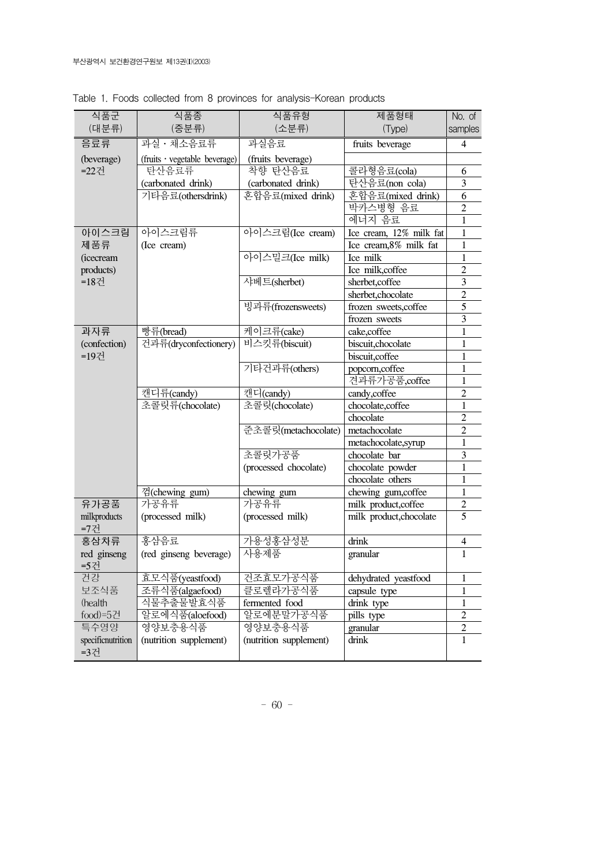| 식품군                 | 식품종                           | 식품유형                   | 제품형태                    | No. of         |
|---------------------|-------------------------------|------------------------|-------------------------|----------------|
| (대분류)               | (중분류)                         | (소분류)                  | (Type)                  | samples        |
| 음료류                 | 과실 · 채소음료류                    | 과실음료                   | fruits beverage         | 4              |
| (beverage)          | (fruits · vegetable beverage) | (fruits beverage)      |                         |                |
| =22건                | 탄산음료류                         | 착향 탄산음료                | 콜라형음료(cola)             | 6              |
|                     | (carbonated drink)            | (carbonated drink)     | 탄산음료(non cola)          | 3              |
|                     | 기타음료(othersdrink)             | 혼합음료(mixed drink)      | 혼합음료(mixed drink)       | 6              |
|                     |                               |                        | 박카스병형 음료                | $\overline{2}$ |
|                     |                               |                        | 에너지 음료                  | 1              |
| 아이스크림               | 아이스크림류                        | 아이스크림(Ice cream)       | Ice cream, 12% milk fat | 1              |
| 제품류                 | (Ice cream)                   |                        | Ice cream, 8% milk fat  | 1              |
| <i>(icecream</i>    |                               | 아이스밀크(Ice milk)        | Ice milk                | 1              |
| products)           |                               |                        | Ice milk,coffee         | $\overline{2}$ |
| =18건                |                               | 사베트(sherbet)           | sherbet,coffee          | 3              |
|                     |                               |                        | sherbet, chocolate      | $\overline{2}$ |
|                     |                               | 빙과류(frozensweets)      | frozen sweets,coffee    | 5              |
|                     |                               |                        | frozen sweets           | 3              |
| 과자류                 | 빵류(bread)                     | 케이크류(cake)             | cake,coffee             | 1              |
| (confection)        | 건과류(dryconfectionery)         | 비스킷류(biscuit)          | biscuit, chocolate      | 1              |
| =19건                |                               |                        | biscuit, coffee         | 1              |
|                     |                               | 기타건과류(others)          | popcorn,coffee          | 1              |
|                     |                               |                        | 견과류가공품,coffee           | 1              |
|                     | 캔디류(candy)                    | 캔디(candy)              | candy,coffee            | $\overline{2}$ |
|                     | 초콜릿류(chocolate)               | 초콜릿(chocolate)         | chocolate, coffee       | 1              |
|                     |                               |                        | chocolate               | $\overline{2}$ |
|                     |                               | 준초콜릿(metachocolate)    | metachocolate           | $\overline{2}$ |
|                     |                               |                        | metachocolate,syrup     | 1              |
|                     |                               | 초콜릿가공품                 | chocolate bar           | 3              |
|                     |                               | (processed chocolate)  | chocolate powder        | 1              |
|                     |                               |                        | chocolate others        | 1              |
|                     | 껌(chewing gum)                | chewing gum            | chewing gum,coffee      | 1              |
| 유가공품                | 가공유류                          | 가공유류                   | milk product, coffee    | $\overline{2}$ |
| milkproducts<br>=7건 | (processed milk)              | (processed milk)       | milk product, chocolate | 5              |
| 홍삼차류                | 홍삼음료                          | 가용성홍삼성분                | drink                   | 4              |
| red ginseng         | (red ginseng beverage)        | 사용제품                   | granular                | 1              |
| =5건                 |                               |                        |                         |                |
| 건강                  | 효모식품(yeastfood)               | 건조효모가공식품               | dehydrated yeastfood    | 1              |
| 보조식품                | 조류식품(algaefood)               | 클로렐라가공식품               | capsule type            | 1              |
| (health             | 식물추출물발효식품                     | fermented food         | drink type              | 1              |
| food)=5건            | 알로에식품(aloefood)               | 알로에분말가공식품              | pills type              | $\overline{2}$ |
| 특수영양                | 영양보충용식품                       | 영양보충용식품                | granular                | $\overline{2}$ |
| specificnutrition   | (nutrition supplement)        | (nutrition supplement) | drink                   | 1              |
| =3건                 |                               |                        |                         |                |
|                     |                               |                        |                         |                |

Table 1. Foods collected from 8 provinces for analysis-Korean products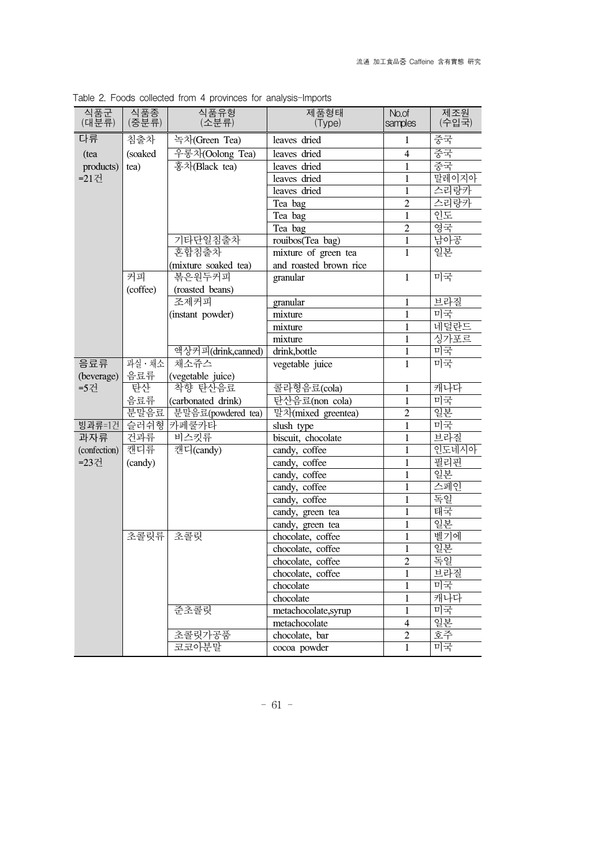| 식품군<br>(대분류) | 식품종<br>(중분류)          | 식품유형<br>(소분류)        | 제품형태<br>(Type)         | No.of<br>samples | 제조원<br>(수입국) |
|--------------|-----------------------|----------------------|------------------------|------------------|--------------|
| 다류           | 침출차                   | 녹차(Green Tea)        | leaves dried           | $\mathbf{1}$     | 중국           |
| (tea         | (soaked               | 우롱차(Oolong Tea)      | leaves dried           | $\overline{4}$   | 중국           |
| products)    | tea)                  | 홍차(Black tea)        | leaves dried           | $\mathbf{1}$     | 중국           |
| =21건         |                       |                      | leaves dried           | $\mathbf{1}$     | 말레이지아        |
|              |                       |                      | leaves dried           | $\mathbf{1}$     | 즈리랑카         |
|              |                       |                      | Tea bag                | $\overline{2}$   | 스리랑카         |
|              |                       |                      | Tea bag                | $\mathbf{1}$     | 인도           |
|              |                       |                      | Tea bag                | $\overline{2}$   | 영국           |
|              |                       | 기타단일침출차              | rouibos(Tea bag)       | $\mathbf{1}$     | 남아공          |
|              |                       | 혼합침출차                | mixture of green tea   | $\mathbf{1}$     | 일본           |
|              |                       | (mixture soaked tea) | and roasted brown rice |                  |              |
|              | 커피                    | 볶은원두커피               | granular               | $\mathbf{1}$     | 미국           |
|              | (coffee)              | (roasted beans)      |                        |                  |              |
|              |                       | 조제커피                 | granular               | $\mathbf{1}$     | 브라질          |
|              |                       | (instant powder)     | mixture                | $\mathbf{1}$     | 미국           |
|              |                       |                      | mixture                | $\mathbf{1}$     | 네덜란드         |
|              |                       |                      | mixture                | $\mathbf{1}$     | 싱가포르         |
|              |                       | 액상커피(drink,canned)   | drink, bottle          | $\mathbf{1}$     | 미국           |
| 음료류          | $\overline{4}$ 실 · 채소 | 채소쥬스                 | vegetable juice        | $\mathbf{1}$     | 미국           |
| (beverage)   | 음료류                   | (vegetable juice)    |                        |                  |              |
| =5건          | 탄산                    | 착향 탄산음료              | 콜라형음료(cola)            | $\mathbf{1}$     | 캐나다          |
|              | 음료류                   | (carbonated drink)   | 탄산음료(non cola)         | $\mathbf{1}$     | 미국           |
|              | 분말음료                  | 분말음료(powdered tea)   | 말차(mixed greentea)     | $\overline{2}$   | 일본           |
| 빙과류=1건       | 슬러쉬형                  | 카페쿨카타                | slush type             | $\mathbf{1}$     | 미국           |
| 과자류          | 건과류                   | 비스킷류                 | biscuit, chocolate     | $\mathbf{1}$     | 브라질          |
| (confection) | 캔디류                   | 캔디(candy)            | candy, coffee          | $\mathbf{1}$     | 인도네시아        |
| =23건         | (candy)               |                      | candy, coffee          | $\mathbf{1}$     | 필리핀          |
|              |                       |                      | candy, coffee          | $\mathbf{1}$     | 일본           |
|              |                       |                      | candy, coffee          | $\mathbf{1}$     | 스페인          |
|              |                       |                      | candy, coffee          | $\mathbf{1}$     | 독일           |
|              |                       |                      | candy, green tea       | $\mathbf{1}$     | 태국           |
|              |                       |                      | candy, green tea       | $\mathbf{1}$     | 일본           |
|              | 초콜릿류                  | 초콜릿                  | chocolate, coffee      | $\mathbf{1}$     | 벨기에          |
|              |                       |                      | chocolate, coffee      | $\mathbf{1}$     | 일본           |
|              |                       |                      | chocolate, coffee      | $\overline{2}$   | 독일           |
|              |                       |                      | chocolate, coffee      | $\mathbf{1}$     | 브라질          |
|              |                       |                      | chocolate              | $\mathbf{1}$     | 미국           |
|              |                       |                      | chocolate              | $\mathbf{1}$     | 캐나다          |
|              |                       | 준초콜릿                 | metachocolate,syrup    | $\mathbf{1}$     | 미국           |
|              |                       |                      | metachocolate          | $\overline{4}$   | 일본           |
|              |                       | 초콜릿가공품               | chocolate, bar         | $\overline{2}$   | 호주           |
|              |                       | 코코아분말                | cocoa powder           | $\mathbf{1}$     | 미국           |

Table 2. Foods collected from 4 provinces for analysis-Imports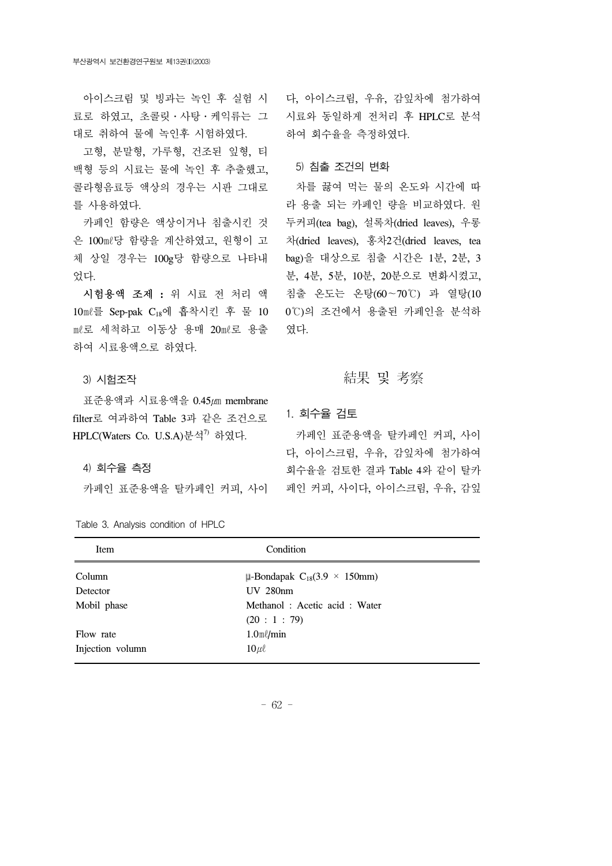료로 하였고, 초콜릿․사탕․케익류는 그 대로 취하여 물에 녹인후 시험하였다.

 고형, 분말형, 가루형, 건조된 잎형, 티 백형 등의 시료는 물에 녹인 후 추출했고, 콜라형음료등 액상의 경우는 시판 그대로 를 사용하였다.

 카페인 함량은 액상이거나 침출시킨 것 은 100㎖당 함량을 계산하였고, 원형이 고 체 상일 경우는 100g당 함량으로 나타내 었다.

 시험용액 조제 **:** 위 시료 전 처리 액 10㎖를 Sep-pak C18에 흡착시킨 후 물 10 ㎖로 세척하고 이동상 용매 20㎖로 용출 하여 시료용액으로 하였다.

### 3) 시험조작

 표준용액과 시료용액을 0.45㎛ membrane filter로 여과하여 Table 3과 같은 조건으로 HPLC(Waters Co. U.S.A) 뷰석<sup>7)</sup> 하였다.

#### 4) 회수율 측정

Table 3. Analysis condition of HPLC

 아이스크림 및 빙과는 녹인 후 실험 시 다, 아이스크림, 우유, 감잎차에 첨가하여 시료와 동일하게 전처리 후 HPLC로 분석 하여 회수율을 측정하였다.

#### 5) 침출 조건의 변화

 차를 끓여 먹는 물의 온도와 시간에 따 라 용출 되는 카페인 량을 비교하였다. 원 두커피(tea bag), 설록차(dried leaves), 우롱 차(dried leaves), 홍차2건(dried leaves, tea bag)을 대상으로 침출 시간은 1분, 2분, 3 분, 4분, 5분, 10분, 20분으로 변화시켰고, 침출 온도는 온탕(60∼70℃) 과 열탕(10 0℃)의 조건에서 용출된 카페인을 분석하 였다.

## 結果 및 考察

1. 회수율 검토

 카페인 표준용액을 탈카페인 커피, 사이 페인 커피, 사이다, 아이스크림, 우유, 감잎 카페인 표준용액을 탈카페인 커피, 사이 다, 아이스크림, 우유, 감잎차에 첨가하여 회수율을 검토한 결과 Table 4와 같이 탈카

| Item             | Condition                                     |
|------------------|-----------------------------------------------|
| Column           | $\mu$ -Bondapak C <sub>18</sub> (3.9 × 150mm) |
| Detector         | <b>UV 280nm</b>                               |
| Mobil phase      | Methanol: Acetic acid: Water                  |
|                  | (20:1:79)                                     |
| Flow rate        | $1.0$ m $\ell$ /min                           |
| Injection volumn | $10 \mu \ell$                                 |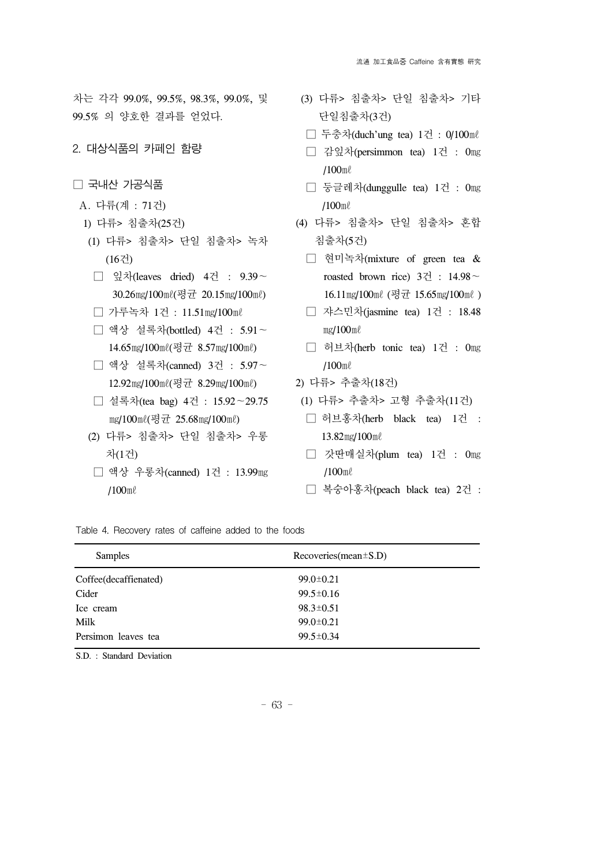차는 각각 99.0%, 99.5%, 98.3%, 99.0%, 및 99.5% 의 양호한 결과를 얻었다.

- 2. 대상식품의 카페인 함량
- □ 국내산 가공식품
- A. 다류(계 : 71건)
	- 1) 다류> 침출차(25건)
	- (1) 다류> 침출차> 단일 침출차> 녹차 (16건)
	- □ 잎차(leaves dried) 4건 : 9.39∼ 30.26㎎/100㎖(평균 20.15㎎/100㎖)
	- □ 가루녹차 1건 : 11.51㎎/100㎖
	- □ 액상 설록차(bottled) 4건 : 5.91∼ 14.65㎎/100㎖(평균 8.57㎎/100㎖)
	- □ 액상 설록차(canned) 3건 : 5.97∼ 12.92㎎/100㎖(평균 8.29㎎/100㎖)
	- □ 설록차(tea bag) 4건 : 15.92∼29.75 mg/100ml(평균 25.68mg/100ml)
	- (2) 다류> 침출차> 단일 침출차> 우롱 차(1건)
	- □ 액상 우롱차(canned) 1건 : 13.99㎎ /100㎖
- (3) 다류> 침출차> 단일 침출차> 기타 단일침출차(3건)
- □ 두충차(duch'ung tea) 1건 : 0/100㎖
- □ 감잎차(persimmon tea) 1건 : 0㎎ /100㎖
- □ 둥글레차(dunggulle tea) 1건 : 0㎎ /100㎖
- (4) 다류> 침출차> 단일 침출차> 혼합 침출차(5건)
	- □ 현미녹차(mixture of green tea & roasted brown rice) 3건 : 14.98∼ 16.11mg/100ml (평균 15.65mg/100ml)
	- □ 쟈스민차(jasmine tea) 1건 : 18.48 ㎎/100㎖
	- □ 허브차(herb tonic tea) 1건 : 0㎎ /100㎖
- 2) 다류> 추출차(18건)
- (1) 다류> 추출차> 고형 추출차(11건)
- □ 허브홍차(herb black tea) 1건 : 13.82㎎/100㎖
- □ 갓딴매실차(plum tea) 1건 : 0mg /100㎖
- □ 복숭아홍차(peach black tea) 2건 :

Table 4. Recovery rates of caffeine added to the foods

| <b>Samples</b>         | $Recoveries(mean \pm S.D)$ |
|------------------------|----------------------------|
| Coffee (decaffienated) | $99.0 \pm 0.21$            |
| Cider                  | $99.5 \pm 0.16$            |
| Ice cream              | $98.3 \pm 0.51$            |
| Milk                   | $99.0 \pm 0.21$            |
| Persimon leaves tea    | $99.5 \pm 0.34$            |

S.D. : Standard Deviation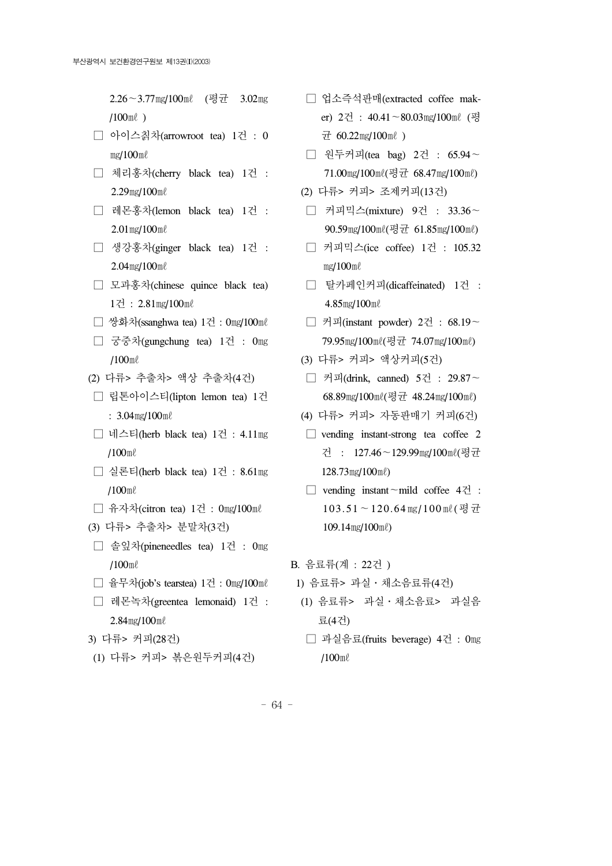2.26∼3.77㎎/100㎖ (평균 3.02㎎ /100㎖ )

- □ 아이스칡차(arrowroot tea) 1건 : 0 ㎎/100㎖
- □ 체리홍차(cherry black tea) 1건 : 2.29㎎/100㎖
- □ 레몬홍차(lemon black tea) 1건 : 2.01㎎/100㎖
- □ 생강홍차(ginger black tea) 1건 : 2.04㎎/100㎖
- □ 모과홍차(chinese quince black tea) 1건 : 2.81㎎/100㎖
- □ 쌍화차(ssanghwa tea) 1건 : 0㎎/100㎖
- □ 궁중차(gungchung tea) 1건 : 0㎎ /100㎖
- (2) 다류> 추출차> 액상 추출차(4건)
- □ 립톤아이스티(lipton lemon tea) 1건 : 3.04㎎/100㎖
- □ 네스티(herb black tea) 1건 : 4.11㎎ /100㎖
- □ 실론티(herb black tea) 1건 : 8.61㎎ /100㎖
- □ 유자차(citron tea) 1건 : 0㎎/100㎖
- (3) 다류> 추출차> 분말차(3건)
- □ 솔잎차(pineneedles tea) 1건 : 0㎎ /100㎖
- □ 율무차(job's tearstea) 1건 : 0㎎/100㎖
- □ 레몬녹차(greentea lemonaid) 1건 : 2.84㎎/100㎖
- 3) 다류> 커피(28건)
- (1) 다류> 커피> 볶은원두커피(4건)
- □ 업소즉석판매(extracted coffee maker) 2건 : 40.41∼80.03㎎/100㎖ (평  $\pm 60.22$ mg/100ml)
- □ 원두커피(tea bag) 2건 : 65.94∼ 71.00㎎/100㎖(평균 68.47㎎/100㎖)
- (2) 다류> 커피> 조제커피(13건)
- □ 커피믹스(mixture) 9건 : 33.36∼ 90.59㎎/100㎖(평균 61.85㎎/100㎖)
- □ 커피믹스(ice coffee) 1건 : 105.32 ㎎/100㎖
- □ 탈카페인커피(dicaffeinated) 1건 : 4.85㎎/100㎖
- □ 커피(instant powder) 2건 : 68.19∼ 79.95㎎/100㎖(평균 74.07㎎/100㎖)
- (3) 다류> 커피> 액상커피(5건)
- □ 커피(drink, canned) 5건 : 29.87∼ 68.89㎎/100㎖(평균 48.24㎎/100㎖)
- (4) 다류> 커피> 자동판매기 커피(6건)
- $\Box$  vending instant-strong tea coffee 2 건 : 127.46∼129.99㎎/100㎖(평균 128.73㎎/100㎖)
- □ vending instant∼mild coffee 4건 : 103.51∼120.64㎎/100㎖(평균 109.14㎎/100㎖)

B. 음료류(계 : 22건 )

- 1) 음료류> 과실․채소음료류(4건)
- (1) 음료류> 과실․채소음료> 과실음 료(4건)
- □ 과실음료(fruits beverage) 4건 : 0㎎ /100㎖
- 64 -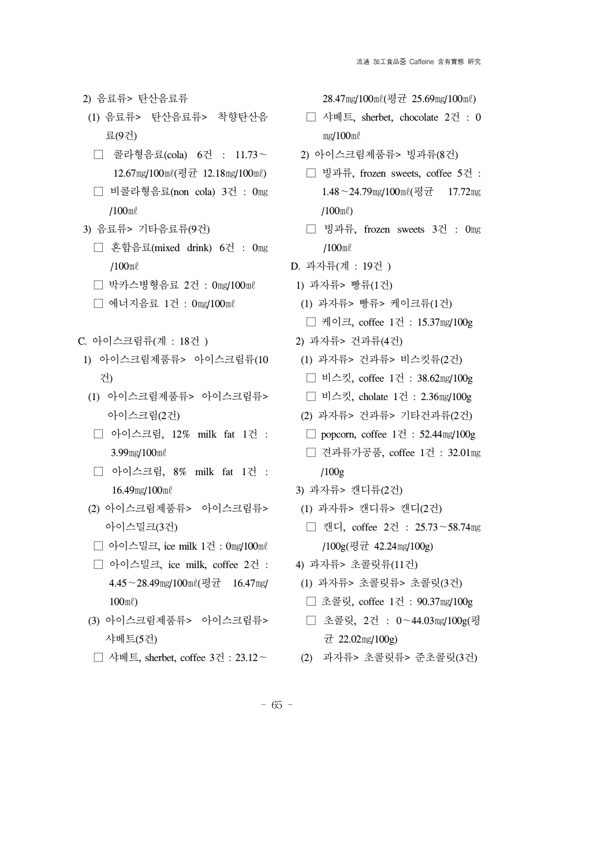- 2) 음료류> 탄산음료류
- (1) 음료류> 탄산음료류> 착향탄산음 료(9건)
- □ 콜라형음료(cola) 6건 : 11.73∼ 12.67㎎/100㎖(평균 12.18㎎/100㎖)
- □ 비콜라형음료(non cola) 3건 : 0㎎ /100㎖
- 3) 음료류> 기타음료류(9건)
	- □ 혼합음료(mixed drink) 6건 : 0㎎ /100㎖
	- □ 박카스병형음료 2건 : 0㎎/100㎖
	- □ 에너지음료 1건 : 0㎎/100㎖
- C. 아이스크림류(계 : 18건 )
	- 1) 아이스크림제품류> 아이스크림류(10 건)
	- (1) 아이스크림제품류> 아이스크림류> 아이스크림(2건)
	- □ 아이스크림, 12% milk fat 1건 : 3.99㎎/100㎖
	- □ 아이스크림, 8% milk fat 1건 : 16.49㎎/100㎖
	- (2) 아이스크림제품류> 아이스크림류> 아이스밀크(3건)
	- □ 아이스밀크, ice milk 1건 : 0㎎/100㎖
	- □ 아이스밀크, ice milk, coffee 2건 : 4.45∼28.49㎎/100㎖(평균 16.47㎎/ 100㎖)
	- (3) 아이스크림제품류> 아이스크림류> 샤베트(5건)
	- □ 샤베트, sherbet, coffee 3건 : 23.12∼

28.47㎎/100㎖(평균 25.69㎎/100㎖)

- □ 샤베트, sherbet, chocolate 2건 : 0 ㎎/100㎖
- 2) 아이스크림제품류> 빙과류(8건)
- □ 빙과류, frozen sweets, coffee 5건 : 1.48∼24.79㎎/100㎖(평균 17.72㎎ /100㎖)
- □ 빙과류, frozen sweets 3건 : 0㎎ /100㎖
- D. 과자류(계 : 19건 )
- 1) 과자류> 빵류(1건)
- (1) 과자류> 빵류> 케이크류(1건)
- □ 케이크, coffee 1건 : 15.37㎎/100g
- 2) 과자류> 건과류(4건)
- (1) 과자류> 건과류> 비스킷류(2건)
- □ 비스킷, coffee 1건 : 38.62㎎/100g
- □ 비스킷, cholate 1건 : 2.36㎎/100g
- (2) 과자류> 건과류> 기타건과류(2건)
- $\Box$  popcorn, coffee  $1\overline{Z}$  : 52.44 $mg/100g$
- □ 견과류가공품, coffee 1건 : 32.01㎎ /100g
- 3) 과자류> 캔디류(2건)
- (1) 과자류> 캔디류> 캔디(2건)
- □ 캔디, coffee 2건 : 25.73∼58.74㎎ /100g(평균 42.24㎎/100g)
- 4) 과자류> 초콜릿류(11건)
- (1) 과자류> 초콜릿류> 초콜릿(3건)
- □ 초콜릿, coffee 1건 : 90.37㎎/100g
- □ 초콜릿, 2건 : 0∼44.03㎎/100g(평  $\pm 22.02$  mg/100g)
- (2) 과자류> 초콜릿류> 준초콜릿(3건)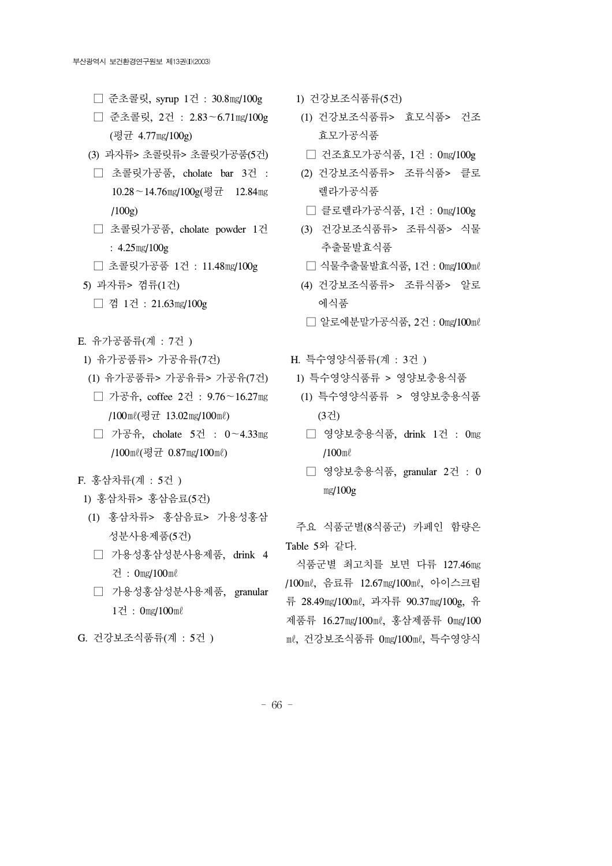- □ 준초콜릿, syrup 1건 : 30.8㎎/100g
- □ 준초콜릿, 2건 : 2.83∼6.71㎎/100g (평균 4.77㎎/100g)
- (3) 과자류> 초콜릿류> 초콜릿가공품(5건)
- □ 초콜릿가공품, cholate bar 3건 : 10.28∼14.76㎎/100g(평균 12.84㎎  $(100g)$
- □ 초콜릿가공품, cholate powder 1건 : 4.25㎎/100g
- □ 초콜릿가공품 1건 : 11.48㎎/100g
- 5) 과자류> 껌류(1건)
	- □ 껌 1건 : 21.63㎎/100g
- E. 유가공품류(계 : 7건 )
- 1) 유가공품류> 가공유류(7건)
- (1) 유가공품류> 가공유류> 가공유(7건)
- □ 가공유, coffee 2건 : 9.76∼16.27㎎ /100㎖(평균 13.02㎎/100㎖)
- □ 가공유, cholate 5건 : 0∼4.33㎎ /100㎖(평균 0.87㎎/100㎖)
- F. 홍삼차류(계 : 5건 )
- 1) 홍삼차류> 홍삼음료(5건)
- (1) 홍삼차류> 홍삼음료> 가용성홍삼 성분사용제품(5건)
- □ 가용성홍삼성분사용제품, drink 4 건 : 0㎎/100㎖
- □ 가용성홍삼성분사용제품, granular 1건 : 0㎎/100㎖

G. 건강보조식품류(계 : 5건 )

- 1) 건강보조식품류(5건)
- (1) 건강보조식품류> 효모식품> 건조 효모가공식품
- □ 건조효모가공식품, 1건 : 0㎎/100g
- (2) 건강보조식품류> 조류식품> 클로 렐라가공식품
- □ 클로렐라가공식품, 1건 : 0㎎/100g
- (3) 건강보조식품류> 조류식품> 식물 추출물발효식품
- □ 식물추출물발효식품, 1건 : 0mg/100ml
- (4) 건강보조식품류> 조류식품> 알로 에식품
- □ 알로에분말가공식품, 2건 : 0mg/100ml
- H. 특수영양식품류(계 : 3건 )
	- 1) 특수영양식품류 > 영양보충용식품
		- (1) 특수영양식품류 > 영양보충용식품 (3건)
		- □ 영양보충용식품, drink 1건 : 0mg /100㎖
		- □ 영양보충용식품, granular 2건 : 0 ㎎/100g

 주요 식품군별(8식품군) 카페인 함량은 Table 5와 같다.

 식품군별 최고치를 보면 다류 127.46㎎ /100㎖, 음료류 12.67㎎/100㎖, 아이스크림 류 28.49㎎/100㎖, 과자류 90.37㎎/100g, 유 제품류 16.27㎎/100㎖, 홍삼제품류 0㎎/100 ㎖, 건강보조식품류 0㎎/100㎖, 특수영양식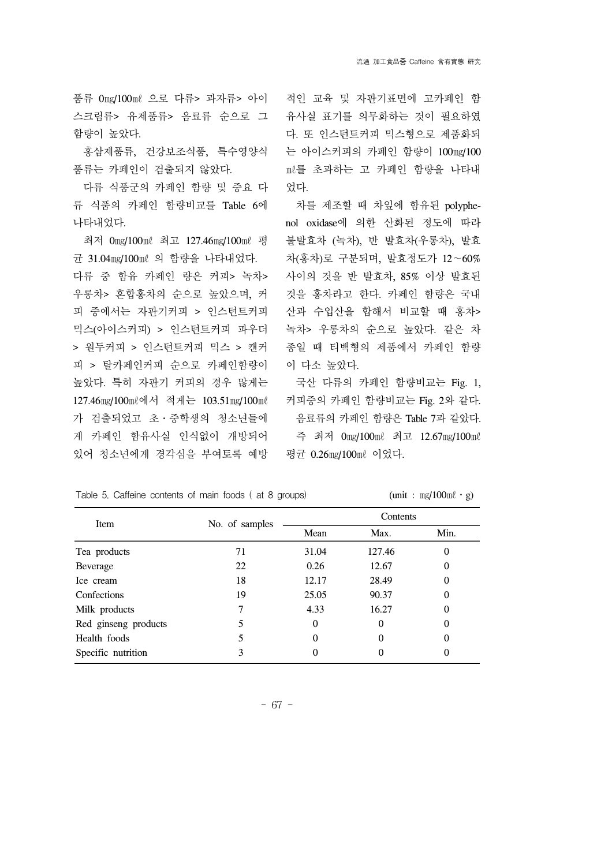스크림류> 유제품류> 음료류 순으로 그 함량이 높았다.

 홍삼제품류, 건강보조식품, 특수영양식 품류는 카페인이 검출되지 않았다.

 다류 식품군의 카페인 함량 및 중요 다 류 식품의 카페인 함량비교를 Table 6에 나타내었다.

 최저 0㎎/100㎖ 최고 127.46㎎/100㎖ 평 균 31.04㎎/100㎖ 의 함량을 나타내었다. 다류 중 함유 카페인 량은 커피> 녹차> 우롱차> 혼합홍차의 순으로 높았으며, 커 피 중에서는 자판기커피 > 인스턴트커피 믹스(아이스커피) > 인스턴트커피 파우더 > 원두커피 > 인스턴트커피 믹스 > 캔커 피 > 탈카페인커피 순으로 카페인함량이 높았다. 특히 자판기 커피의 경우 많게는 127.46㎎/100㎖에서 적게는 103.51㎎/100㎖ 가 검출되었고 초․중학생의 청소년들에 게 카페인 함유사실 인식없이 개방되어 있어 청소년에게 경각심을 부여토록 예방

품류 0mg/100ml 으로 다류> 과자류> 아이 적인 교육 및 자판기표면에 고카페인 함 유사실 표기를 의무화하는 것이 필요하였 다. 또 인스턴트커피 믹스형으로 제품화되 는 아이스커피의 카페인 함량이 100㎎/100 ㎖를 초과하는 고 카페인 함량을 나타내 었다.

> 차를 제조할 때 차잎에 함유된 polyphenol oxidase에 의한 산화된 정도에 따라 불발효차 (녹차), 반 발효차(우롱차), 발효 차(홍차)로 구분되며, 발효정도가 12∼60% 사이의 것을 반 발효차, 85% 이상 발효된 것을 홍차라고 한다. 카페인 함량은 국내 산과 수입산을 합해서 비교할 때 홍차> 녹차> 우롱차의 순으로 높았다. 같은 차 종일 때 티백형의 제품에서 카페인 함량 이 다소 높았다.

> 국산 다류의 카페인 함량비교는 Fig. 1, 커피중의 카페인 함량비교는 Fig. 2와 같다. 음료류의 카페인 함량은 Table 7과 같았다. 즉 최저 0㎎/100㎖ 최고 12.67㎎/100㎖ 평균 0.26㎎/100㎖ 이었다.

| Item                 | No. of samples | Contents |          |          |  |
|----------------------|----------------|----------|----------|----------|--|
|                      |                | Mean     | Max.     | Min.     |  |
| Tea products         | 71             | 31.04    | 127.46   | 0        |  |
| Beverage             | 22             | 0.26     | 12.67    | $\Omega$ |  |
| Ice cream            | 18             | 12.17    | 28.49    | 0        |  |
| Confections          | 19             | 25.05    | 90.37    | 0        |  |
| Milk products        |                | 4.33     | 16.27    | 0        |  |
| Red ginseng products | 5              | $\theta$ | $\Omega$ | 0        |  |
| Health foods         |                | 0        | 0        | 0        |  |
| Specific nutrition   | 3              |          | 0        | 0        |  |

Table 5. Caffeine contents of main foods ( at 8 groups)  $(unit : mg/100m\ell \cdot g)$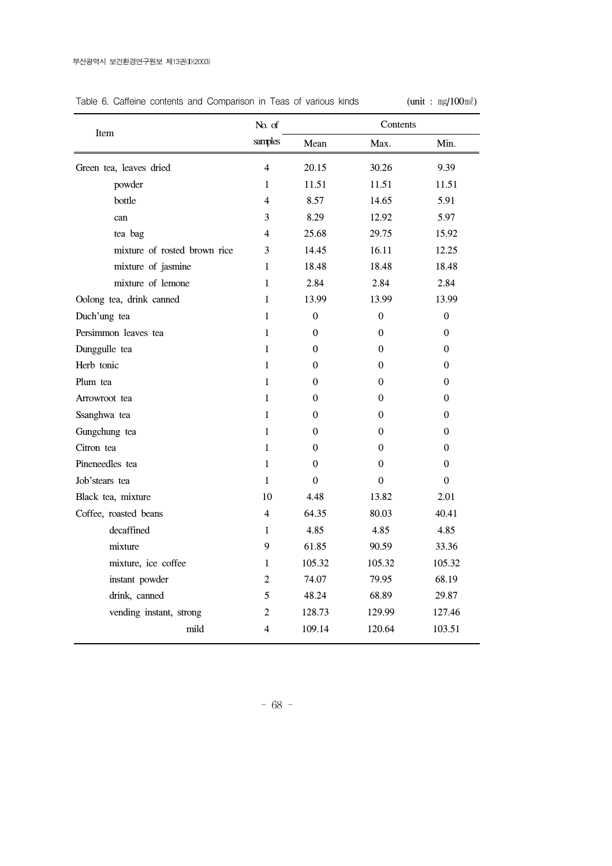## Table 6. Caffeine contents and Comparison in Teas of various kinds  $(unit : mg/100m\ell)$

|                              | No. of                  |                  | Contents         |                  |  |
|------------------------------|-------------------------|------------------|------------------|------------------|--|
| Item                         | samples                 | Mean             | Max.             | Min.             |  |
| Green tea, leaves dried      | 4                       | 20.15            | 30.26            | 9.39             |  |
| powder                       | 1                       | 11.51            | 11.51            | 11.51            |  |
| bottle                       | 4                       | 8.57             | 14.65            | 5.91             |  |
| can                          | 3                       | 8.29             | 12.92            | 5.97             |  |
| tea bag                      | 4                       | 25.68            | 29.75            | 15.92            |  |
| mixture of rosted brown rice | 3                       | 14.45            | 16.11            | 12.25            |  |
| mixture of jasmine           | 1                       | 18.48            | 18.48            | 18.48            |  |
| mixture of lemone            | $\mathbf{1}$            | 2.84             | 2.84             | 2.84             |  |
| Oolong tea, drink canned     | $\mathbf{1}$            | 13.99            | 13.99            | 13.99            |  |
| Duch'ung tea                 | $\mathbf{1}$            | $\boldsymbol{0}$ | $\boldsymbol{0}$ | $\boldsymbol{0}$ |  |
| Persimmon leaves tea         | $\mathbf{1}$            | $\boldsymbol{0}$ | $\boldsymbol{0}$ | $\boldsymbol{0}$ |  |
| Dunggulle tea                | 1                       | $\mathbf{0}$     | 0                | 0                |  |
| Herb tonic                   | $\mathbf{1}$            | $\Omega$         | $\overline{0}$   | $\overline{0}$   |  |
| Plum tea                     | $\mathbf{1}$            | $\overline{0}$   | $\overline{0}$   | $\overline{0}$   |  |
| Arrowroot tea                | $\mathbf{1}$            | $\overline{0}$   | $\overline{0}$   | 0                |  |
| Ssanghwa tea                 | $\mathbf{1}$            | $\boldsymbol{0}$ | $\boldsymbol{0}$ | $\boldsymbol{0}$ |  |
| Gungchung tea                | $\mathbf{1}$            | $\overline{0}$   | 0                | 0                |  |
| Citron tea                   | $\mathbf{1}$            | $\theta$         | $\Omega$         | $\theta$         |  |
| Pineneedles tea              | $\mathbf{1}$            | $\theta$         | $\theta$         | $\theta$         |  |
| Job'stears tea               | $\mathbf{1}$            | $\overline{0}$   | $\boldsymbol{0}$ | $\boldsymbol{0}$ |  |
| Black tea, mixture           | 10                      | 4.48             | 13.82            | 2.01             |  |
| Coffee, roasted beans        | 4                       | 64.35            | 80.03            | 40.41            |  |
| decaffined                   | $\mathbf{1}$            | 4.85             | 4.85             | 4.85             |  |
| mixture                      | 9                       | 61.85            | 90.59            | 33.36            |  |
| mixture, ice coffee          | $\mathbf{1}$            | 105.32           | 105.32           | 105.32           |  |
| instant powder               | 2                       | 74.07            | 79.95            | 68.19            |  |
| drink, canned                | 5                       | 48.24            | 68.89            | 29.87            |  |
| vending instant, strong      | 2                       | 128.73           | 129.99           | 127.46           |  |
| mild                         | $\overline{\mathbf{4}}$ | 109.14           | 120.64           | 103.51           |  |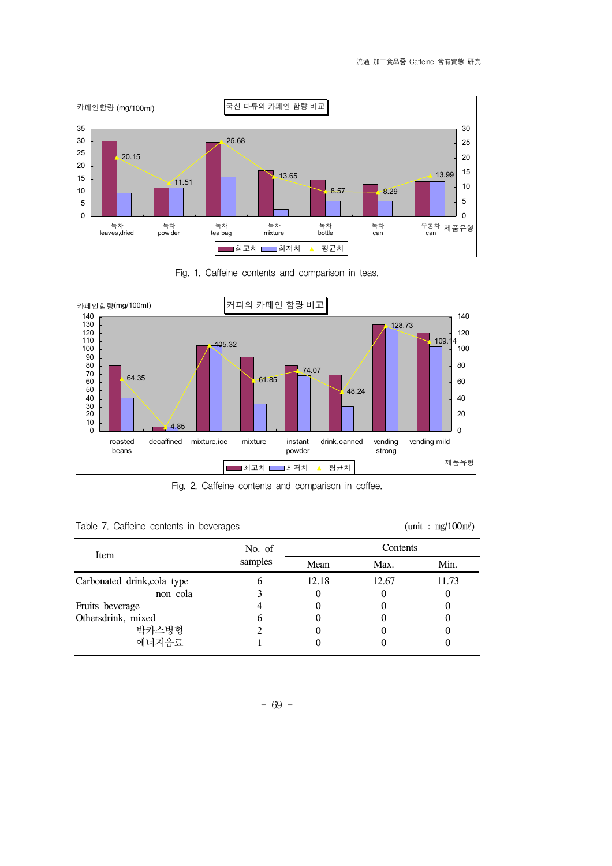

Fig. 1. Caffeine contents and comparison in teas.



Fig. 2. Caffeine contents and comparison in coffee.

|  |  |  |  |  | Table 7. Caffeine contents in beverages |
|--|--|--|--|--|-----------------------------------------|
|--|--|--|--|--|-----------------------------------------|

 $tanh : mg/100m\ell$ 

| Item                        | No. of  | Contents |       |       |  |
|-----------------------------|---------|----------|-------|-------|--|
|                             | samples | Mean     | Max.  | Min.  |  |
| Carbonated drink, cola type |         | 12.18    | 12.67 | 11.73 |  |
| non cola                    |         |          |       |       |  |
| Fruits beverage             |         |          |       |       |  |
| Othersdrink, mixed          | 6       |          |       |       |  |
| 박카스병형                       |         |          |       |       |  |
| 에너지음료                       |         |          |       |       |  |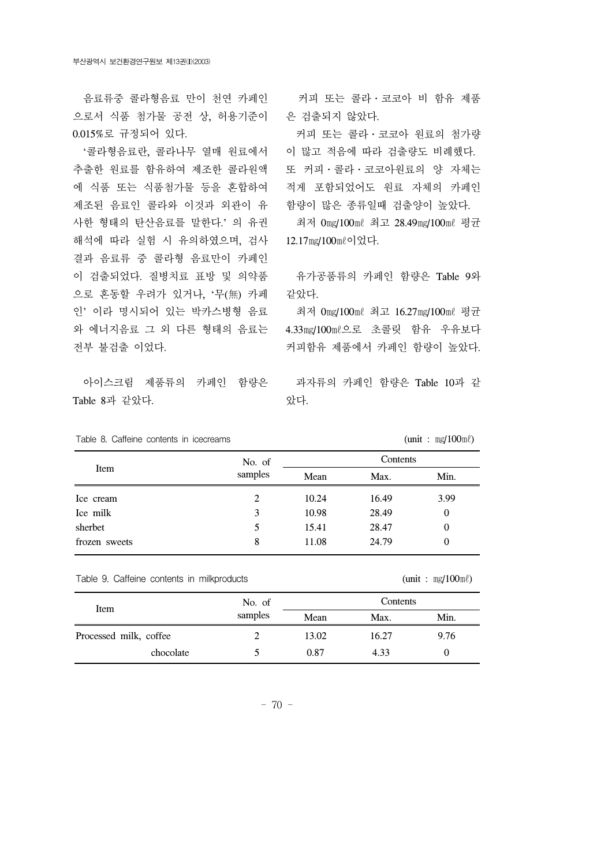음료류중 콜라형음료 만이 천연 카페인 으로서 식품 첨가물 공전 상, 허용기준이 0.015%로 규정되어 있다.

 '콜라형음료란, 콜라나무 열매 원료에서 추출한 원료를 함유하여 제조한 콜라원액 에 식품 또는 식품첨가물 등을 혼합하여 제조된 음료인 콜라와 이것과 외관이 유 사한 형태의 탄산음료를 말한다.' 의 유권 해석에 따라 실험 시 유의하였으며, 검사 결과 음료류 중 콜라형 음료만이 카페인 이 검출되었다. 질병치료 표방 및 의약품 으로 혼동할 우려가 있거나, '무(無) 카페 인' 이라 명시되어 있는 박카스병형 음료 와 에너지음료 그 외 다른 형태의 음료는 전부 불검출 이었다.

 아이스크림 제품류의 카페인 함량은 Table 8과 같았다.

 커피 또는 콜라․코코아 비 함유 제품 은 검출되지 않았다.

 커피 또는 콜라․코코아 원료의 첨가량 이 많고 적음에 따라 검출량도 비례했다. 또 커피․콜라․코코아원료의 양 자체는 적게 포함되었어도 원료 자체의 카페인 함량이 많은 종류일때 검출양이 높았다.

 최저 0㎎/100㎖ 최고 28.49㎎/100㎖ 평균 12.17㎎/100㎖이었다.

 유가공품류의 카페인 함량은 Table 9와 같았다.

 최저 0㎎/100㎖ 최고 16.27㎎/100㎖ 평균 4.33㎎/100㎖으로 초콜릿 함유 우유보다 커피함유 제품에서 카페인 함량이 높았다.

 과자류의 카페인 함량은 Table 10과 같 았다.

|  |  | Table 8. Caffeine contents in icecreams |
|--|--|-----------------------------------------|
|  |  |                                         |

|               | No. of  | Contents |       |          |  |
|---------------|---------|----------|-------|----------|--|
| Item          | samples |          | Max.  | Min.     |  |
| Ice cream     | 2       | 10.24    | 16.49 | 3.99     |  |
| Ice milk      | 3       | 10.98    | 28.49 | 0        |  |
| sherbet       | 5       | 15.41    | 28.47 | $\theta$ |  |
| frozen sweets | 8       | 11.08    | 24.79 | 0        |  |

Table 9. Caffeine contents in milkproducts (unit :  $mg/100m\ell$ )

 $t = mg/100$ m $\ell$ 

| Item                   | No. of  | Contents |       |      |  |
|------------------------|---------|----------|-------|------|--|
|                        | samples | Mean     | Max.  | Min. |  |
| Processed milk, coffee |         | 13.02    | 16.27 | 9.76 |  |
| chocolate              |         | 0.87     | 4.33  |      |  |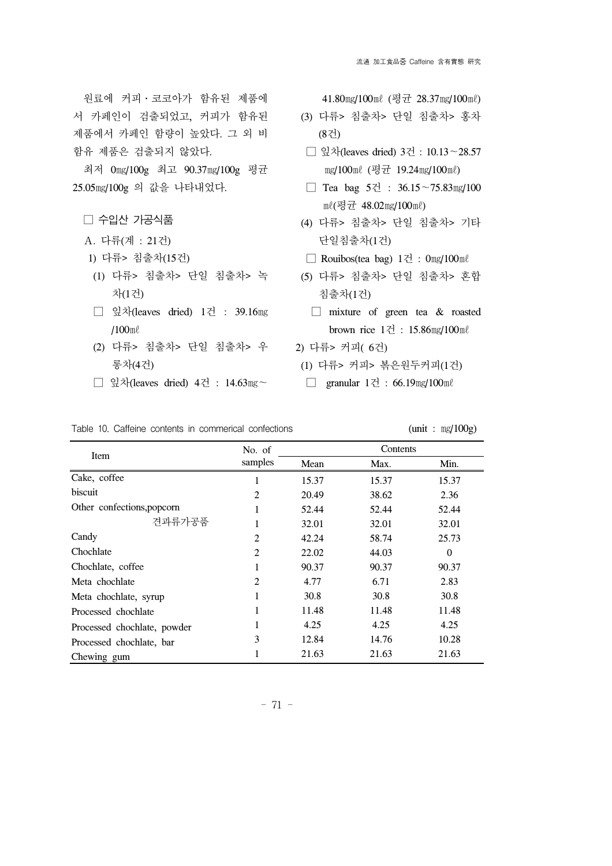원료에 커피․코코아가 함유된 제품에 서 카페인이 검출되었고, 커피가 함유된 제품에서 카페인 함량이 높았다. 그 외 비 함유 제품은 검출되지 않았다.

 최저 0㎎/100g 최고 90.37㎎/100g 평균 25.05㎎/100g 의 값을 나타내었다.

□ 수입산 가공식품

- A. 다류(계 : 21건)
- 1) 다류> 침출차(15건)
- (1) 다류> 침출차> 단일 침출차> 녹 차(1건)
- □ 잎차(leaves dried) 1건 : 39.16㎎ /100㎖
- (2) 다류> 침출차> 단일 침출차> 우 롱차(4건)
- □ 잎차(leaves dried) 4건 : 14.63㎎∼

41.80㎎/100㎖ (평균 28.37㎎/100㎖)

- (3) 다류> 침출차> 단일 침출차> 홍차 (8건)
- □ 잎차(leaves dried) 3건 : 10.13∼28.57 mg/100ml (평균 19.24mg/100ml)
- □ Tea bag 5건 : 36.15∼75.83㎎/100 ㎖(평균 48.02㎎/100㎖)
- (4) 다류> 침출차> 단일 침출차> 기타 단일침출차(1건)
- □ Rouibos(tea bag) 1건 : 0㎎/100㎖
- (5) 다류> 침출차> 단일 침출차> 혼합 침출차(1건)
	- □ mixture of green tea & roasted brown rice 1건 : 15.86㎎/100㎖
- 2) 다류> 커피( 6건)
	- (1) 다류> 커피> 볶은원두커피(1건)
	- If granular  $1\overline{Z}$  : 66.19mg/100ml

#### Table 10. Caffeine contents in commerical confections (unit :  $mg/100g$ )

|                             | No. of         | Contents |       |          |  |
|-----------------------------|----------------|----------|-------|----------|--|
| Item                        | samples        | Mean     | Max.  | Min.     |  |
| Cake, coffee                |                | 15.37    | 15.37 | 15.37    |  |
| biscuit                     | $\overline{2}$ | 20.49    | 38.62 | 2.36     |  |
| Other confections, popcorn  |                | 52.44    | 52.44 | 52.44    |  |
| 견과류가공품                      |                | 32.01    | 32.01 | 32.01    |  |
| Candy                       | $\overline{2}$ | 42.24    | 58.74 | 25.73    |  |
| Chochlate                   | 2              | 22.02    | 44.03 | $\Omega$ |  |
| Chochlate, coffee           |                | 90.37    | 90.37 | 90.37    |  |
| Meta chochlate              | $\overline{2}$ | 4.77     | 6.71  | 2.83     |  |
| Meta chochlate, syrup       |                | 30.8     | 30.8  | 30.8     |  |
| Processed chochlate         |                | 11.48    | 11.48 | 11.48    |  |
| Processed chochlate, powder |                | 4.25     | 4.25  | 4.25     |  |
| Processed chochlate, bar    | 3              | 12.84    | 14.76 | 10.28    |  |
| Chewing gum                 |                | 21.63    | 21.63 | 21.63    |  |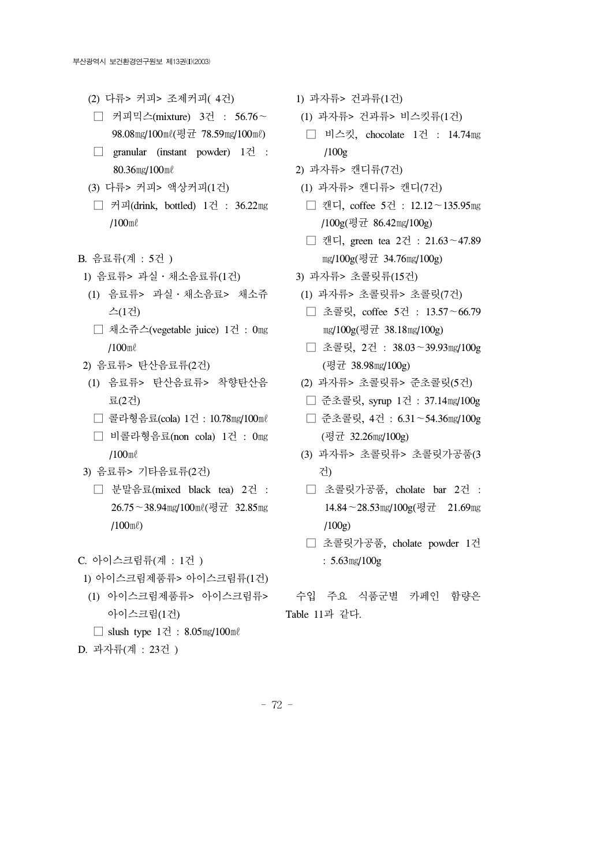- (2) 다류> 커피> 조제커피( 4건)
- □ 커피믹스(mixture) 3건 : 56.76∼ 98.08㎎/100㎖(평균 78.59㎎/100㎖)
- □ granular (instant powder) 1건 : 80.36㎎/100㎖
- (3) 다류> 커피> 액상커피(1건)
- □ 커피(drink, bottled) 1건 : 36.22㎎ /100㎖
- B. 음료류(계 : 5건 )
- 1) 음료류> 과실․채소음료류(1건)
- (1) 음료류> 과실․채소음료> 채소쥬 스(1건)
- □ 채소쥬스(vegetable juice) 1건 : 0㎎ /100㎖
- 2) 음료류> 탄산음료류(2건)
- (1) 음료류> 탄산음료류> 착향탄산음 료(2건)
- □ 콜라형음료(cola) 1건 : 10.78㎎/100㎖
- □ 비콜라형음료(non cola) 1건 : 0㎎ /100㎖
- 3) 음료류> 기타음료류(2건)
	- □ 분말음료(mixed black tea) 2건 : 26.75∼38.94㎎/100㎖(평균 32.85㎎ /100㎖)

C. 아이스크림류(계 : 1건 )

- 1) 아이스크림제품류> 아이스크림류(1건)
- (1) 아이스크림제품류> 아이스크림류> 아이스크림(1건)

□ slush type 1건 : 8.05㎎/100㎖

D. 과자류(계 : 23건 )

- 1) 과자류> 건과류(1건)
- (1) 과자류> 건과류> 비스킷류(1건)
- □ 비스킷, chocolate 1건 : 14.74㎎ /100g
- 2) 과자류> 캔디류(7건)
- (1) 과자류> 캔디류> 캔디(7건)
- □ 캔디, coffee 5건 : 12.12∼135.95㎎ /100g(평균 86.42㎎/100g)
- □ 캔디, green tea 2건 : 21.63∼47.89 ㎎/100g(평균 34.76㎎/100g)
- 3) 과자류> 초콜릿류(15건)
- (1) 과자류> 초콜릿류> 초콜릿(7건)
- □ 초콜릿, coffee 5건 : 13.57∼66.79 ㎎/100g(평균 38.18㎎/100g)
- □ 초콜릿, 2건 : 38.03∼39.93㎎/100g (평균 38.98㎎/100g)
- (2) 과자류> 초콜릿류> 준초콜릿(5건)
- □ 준초콜릿, syrup 1건 : 37.14㎎/100g
- □ 준초콜릿, 4건 : 6.31∼54.36㎎/100g (평균 32.26㎎/100g)
- (3) 과자류> 초콜릿류> 초콜릿가공품(3 건)
- □ 초콜릿가공품, cholate bar 2건 : 14.84∼28.53㎎/100g(평균 21.69㎎ /100g)
- □ 초콜릿가공품, cholate powder 1건 : 5.63㎎/100g
- 수입 주요 식품군별 카페인 함량은 Table 11과 같다.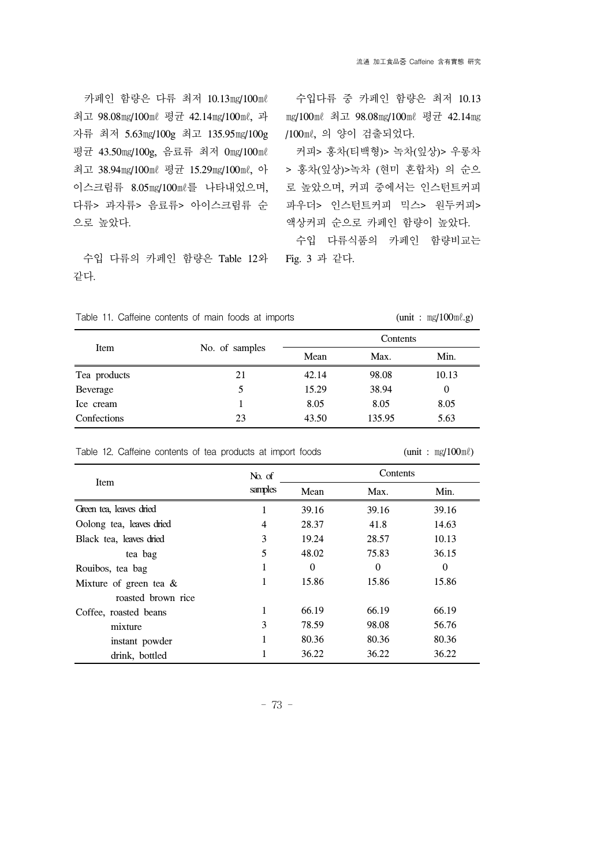카페인 함량은 다류 최저 10.13㎎/100㎖ 최고 98.08㎎/100㎖ 평균 42.14㎎/100㎖, 과 자류 최저 5.63㎎/100g 최고 135.95㎎/100g 평균 43.50㎎/100g, 음료류 최저 0㎎/100㎖ 최고 38.94㎎/100㎖ 평균 15.29㎎/100㎖, 아 이스크림류 8.05㎎/100㎖를 나타내었으며, 다류> 과자류> 음료류> 아이스크림류 순 으로 높았다.

 수입 다류의 카페인 함량은 Table 12와 같다.

 수입다류 중 카페인 함량은 최저 10.13 mg/100ml 최고 98.08mg/100ml 평균 42.14mg /100㎖, 의 양이 검출되었다.

 커피> 홍차(티백형)> 녹차(잎상)> 우롱차 > 홍차(잎상)>녹차 (현미 혼합차) 의 순으 로 높았으며, 커피 중에서는 인스턴트커피 파우더> 인스턴트커피 믹스> 원두커피> 액상커피 순으로 카페인 함량이 높았다.

 수입 다류식품의 카페인 함량비교는 Fig. 3 과 같다.

|  | Table 11. Caffeine contents of main foods at imports |  |  |  | (unit: $mg/100m\ell.g$ ) |
|--|------------------------------------------------------|--|--|--|--------------------------|
|  |                                                      |  |  |  |                          |

|              |                | Contents |        |       |  |  |
|--------------|----------------|----------|--------|-------|--|--|
| Item         | No. of samples | Mean     | Max.   | Min.  |  |  |
| Tea products | 21             | 42.14    | 98.08  | 10.13 |  |  |
| Beverage     | 5              | 15.29    | 38.94  | 0     |  |  |
| Ice cream    |                | 8.05     | 8.05   | 8.05  |  |  |
| Confections  | 23             | 43.50    | 135.95 | 5.63  |  |  |

|                          | No. of  | Contents |          |                  |  |  |
|--------------------------|---------|----------|----------|------------------|--|--|
| Item                     | samples | Mean     | Max.     | Min.             |  |  |
| Green tea, leaves dried  | 1.      | 39.16    | 39.16    | 39.16            |  |  |
| Oolong tea, leaves dried | 4       | 28.37    | 41.8     | 14.63            |  |  |
| Black tea, leaves dried  | 3       | 19.24    | 28.57    | 10.13            |  |  |
| tea bag                  | 5       | 48.02    | 75.83    | 36.15            |  |  |
| Rouibos, tea bag         |         | $\Omega$ | $\theta$ | $\boldsymbol{0}$ |  |  |
| Mixture of green tea &   |         | 15.86    | 15.86    | 15.86            |  |  |
| roasted brown rice       |         |          |          |                  |  |  |
| Coffee, roasted beans    |         | 66.19    | 66.19    | 66.19            |  |  |
| mixture                  | 3       | 78.59    | 98.08    | 56.76            |  |  |
| instant powder           |         | 80.36    | 80.36    | 80.36            |  |  |
| drink, bottled           |         | 36.22    | 36.22    | 36.22            |  |  |

Table 12. Caffeine contents of tea products at import foods  $(\text{unit}: \text{mg}/100 \text{m}\ell)$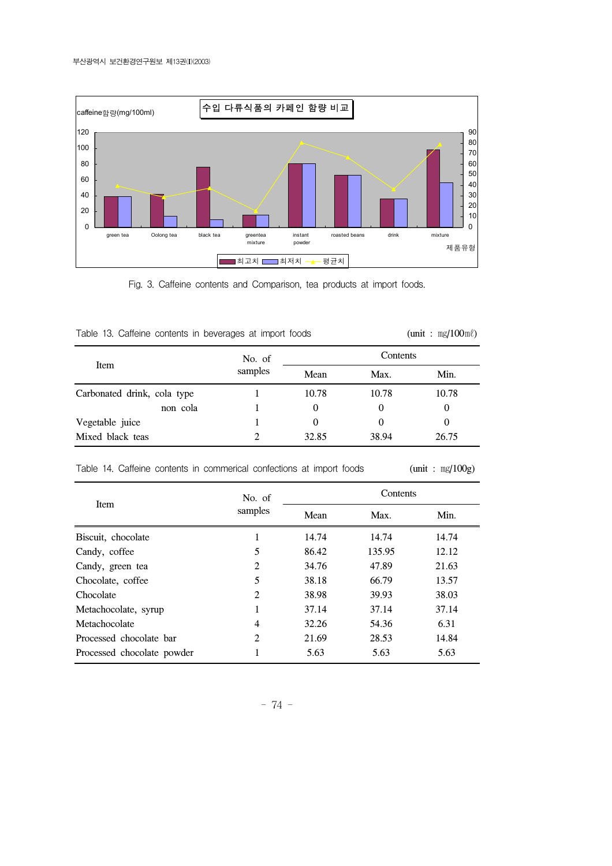

Fig. 3. Caffeine contents and Comparison, tea products at import foods.

|  |  |  |  |  | Table 13. Caffeine contents in beverages at import foods |  |  |  |
|--|--|--|--|--|----------------------------------------------------------|--|--|--|
|--|--|--|--|--|----------------------------------------------------------|--|--|--|

 $\text{S}$  (unit :  $\text{mg}/100\text{m}$ <sup>e</sup>)

|                             | No. of  | Contents |          |       |  |  |
|-----------------------------|---------|----------|----------|-------|--|--|
| Item                        | samples | Mean     | Max.     | Min.  |  |  |
| Carbonated drink, cola type |         | 10.78    | 10.78    | 10.78 |  |  |
| non cola                    |         | $\Omega$ | $\theta$ |       |  |  |
| Vegetable juice             |         | $\theta$ | $\theta$ |       |  |  |
| Mixed black teas            |         | 32.85    | 38.94    | 26.75 |  |  |

Table 14. Caffeine contents in commerical confections at import foods (unit :  $mg/100g$ )

|                            | No. of         | Contents |        |       |  |
|----------------------------|----------------|----------|--------|-------|--|
| <b>Item</b>                | samples        | Mean     | Max.   | Min.  |  |
| Biscuit, chocolate         |                | 14.74    | 14.74  | 14.74 |  |
| Candy, coffee              | 5              | 86.42    | 135.95 | 12.12 |  |
| Candy, green tea           | 2              | 34.76    | 47.89  | 21.63 |  |
| Chocolate, coffee.         | 5              | 38.18    | 66.79  | 13.57 |  |
| Chocolate                  | 2              | 38.98    | 39.93  | 38.03 |  |
| Metachocolate, syrup       |                | 37.14    | 37.14  | 37.14 |  |
| Metachocolate              | $\overline{4}$ | 32.26    | 54.36  | 6.31  |  |
| Processed chocolate bar    | 2              | 21.69    | 28.53  | 14.84 |  |
| Processed chocolate powder |                | 5.63     | 5.63   | 5.63  |  |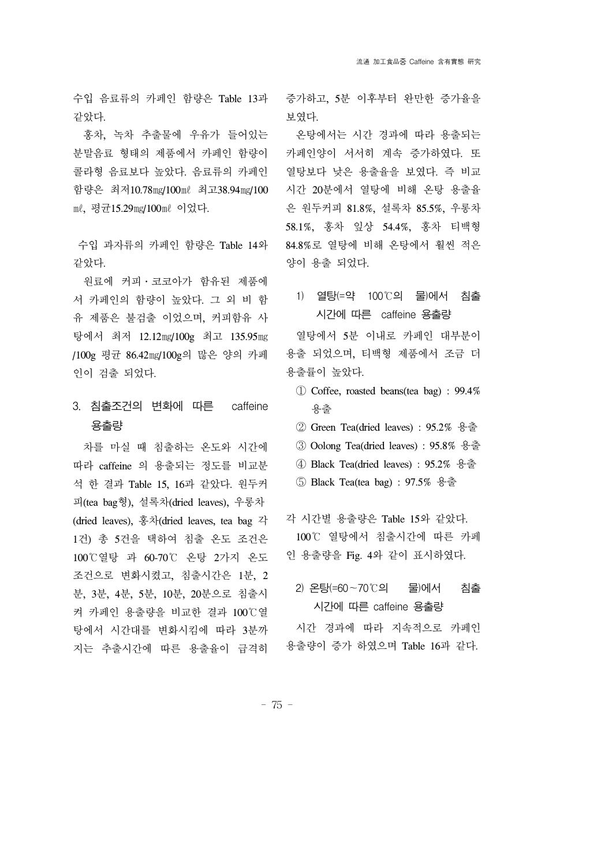수입 음료류의 카페인 함량은 Table 13과 같았다.

 홍차, 녹차 추출물에 우유가 들어있는 분말음료 형태의 제품에서 카페인 함량이 콜라형 음료보다 높았다. 음료류의 카페인 함량은 최저10.78㎎/100㎖ 최고38.94㎎/100 ㎖, 평균15.29㎎/100㎖ 이었다.

수입 과자류의 카페인 함량은 Table 14와 같았다.

 원료에 커피․코코아가 함유된 제품에 서 카페인의 함량이 높았다. 그 외 비 함 유 제품은 불검출 이었으며, 커피함유 사 탕에서 최저 12.12㎎/100g 최고 135.95㎎ /100g 평균 86.42㎎/100g의 많은 양의 카페 인이 검출 되었다.

3. 침출조건의 변화에 따른 caffeine 용출량

 차를 마실 때 침출하는 온도와 시간에 따라 caffeine 의 용출되는 정도를 비교분 석 한 결과 Table 15, 16과 같았다. 원두커 피(tea bag형), 설록차(dried leaves), 우롱차 (dried leaves), 홍차(dried leaves, tea bag 각 1건) 총 5건을 택하여 침출 온도 조건은 100℃열탕 과 60-70℃ 온탕 2가지 온도 조건으로 변화시켰고, 침출시간은 1분, 2 분, 3분, 4분, 5분, 10분, 20분으로 침출시 켜 카페인 용출량을 비교한 결과 100℃열 탕에서 시간대를 변화시킴에 따라 3분까 지는 추출시간에 따른 용출율이 급격히

증가하고, 5분 이후부터 완만한 증가율을 보였다.

 온탕에서는 시간 경과에 따라 용출되는 카페인양이 서서히 계속 증가하였다. 또 열탕보다 낮은 용출율을 보였다. 즉 비교 시간 20분에서 열탕에 비해 온탕 용출율 은 원두커피 81.8%, 설록차 85.5%, 우롱차 58.1%, 홍차 잎상 54.4%, 홍차 티백형 84.8%로 열탕에 비해 온탕에서 훨씬 적은 양이 용출 되었다.

1) 열탕(=약 100℃의 물)에서 침출 시간에 따른 caffeine 용출량

 열탕에서 5분 이내로 카페인 대부분이 용출 되었으며, 티백형 제품에서 조금 더 용출률이 높았다.

- ① Coffee, roasted beans(tea bag) : 99.4% 용출
- ② Green Tea(dried leaves) : 95.2% 용출
- ③ Oolong Tea(dried leaves) : 95.8% 용출
- ④ Black Tea(dried leaves) : 95.2% 용출
- ⑤ Black Tea(tea bag) : 97.5% 용출
- 각 시간별 용출량은 Table 15와 같았다. 100℃ 열탕에서 침출시간에 따른 카페 인 용출량을 Fig. 4와 같이 표시하였다.
	- 2) 온탕(=60∼70℃의 물)에서 침출 시간에 따른 caffeine 용출량

 시간 경과에 따라 지속적으로 카페인 용출량이 증가 하였으며 Table 16과 같다.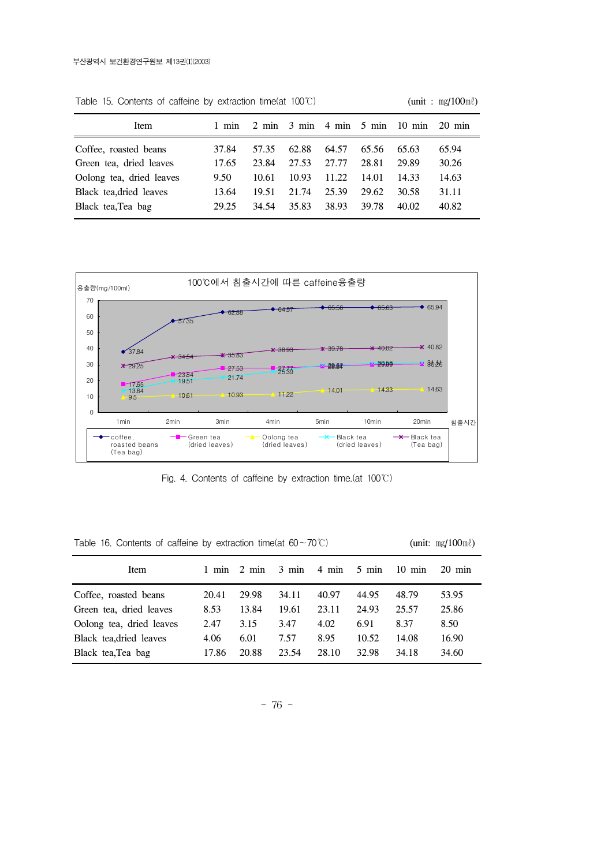| Item                     | 1 min |       |       |       |       | $2 \text{ min}$ $3 \text{ min}$ $4 \text{ min}$ $5 \text{ min}$ $10 \text{ min}$ $20 \text{ min}$ |       |
|--------------------------|-------|-------|-------|-------|-------|---------------------------------------------------------------------------------------------------|-------|
| Coffee, roasted beans    | 37.84 | 57.35 | 62.88 | 64.57 | 65.56 | 65.63                                                                                             | 65.94 |
| Green tea, dried leaves  | 17.65 | 23.84 | 27.53 | 27.77 | 28.81 | 29.89                                                                                             | 30.26 |
| Oolong tea, dried leaves | 9.50  | 10.61 | 10.93 | 11.22 | 14.01 | 14.33                                                                                             | 14.63 |
| Black tea, dried leaves  | 13.64 | 19.51 | 21.74 | 25.39 | 29.62 | 30.58                                                                                             | 31.11 |
| Black tea, Tea bag       | 29.25 | 34.54 | 35.83 | 38.93 | 39.78 | 40.02                                                                                             | 40.82 |

Table 15. Contents of caffeine by extraction time(at 100℃) (unit : mg/100ml)



Fig. 4. Contents of caffeine by extraction time.(at 100℃)

Table 16. Contents of caffeine by extraction time(at 60∼70℃) (unit: mg/100ml)

| Item                     | $1$ min | $2 \text{ min}$ |       | $3 \text{ min}$ $4 \text{ min}$ | $5 \text{ min}$ | $10 \text{ min}$ | $20 \text{ min}$ |
|--------------------------|---------|-----------------|-------|---------------------------------|-----------------|------------------|------------------|
| Coffee, roasted beans    | 20.41   | 29.98           | 34.11 | 40.97                           | 44.95           | 48.79            | 53.95            |
| Green tea, dried leaves  | 8.53    | 13.84           | 19.61 | 23.11                           | 24.93           | 25.57            | 25.86            |
| Oolong tea, dried leaves | 2.47    | 3.15            | 3.47  | 4.02                            | 6.91            | 8.37             | 8.50             |
| Black tea, dried leaves  | 4.06    | 6.01            | 7.57  | 8.95                            | 10.52           | 14.08            | 16.90            |
| Black tea, Tea bag       | 17.86   | 20.88           | 23.54 | 28.10                           | 32.98           | 34.18            | 34.60            |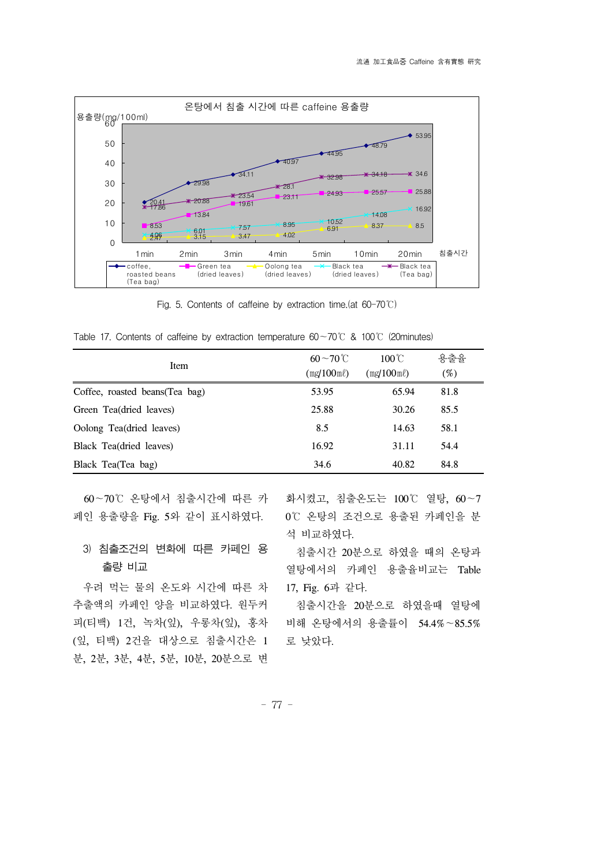

Fig. 5. Contents of caffeine by extraction time.(at 60-70℃)

Table 17. Contents of caffeine by extraction temperature 60∼70℃ & 100℃ (20minutes)

| Item                            | $60 - 70$ °C<br>$(mg/100m\ell)$ | $100^{\circ}$ C<br>$(mg/100m\ell)$ | 용출율<br>$(\%)$ |
|---------------------------------|---------------------------------|------------------------------------|---------------|
| Coffee, roasted beans (Tea bag) | 53.95                           | 65.94                              | 81.8          |
| Green Tea(dried leaves)         | 25.88                           | 30.26                              | 85.5          |
| Oolong Tea(dried leaves)        | 8.5                             | 14.63                              | 58.1          |
| Black Tea(dried leaves)         | 16.92                           | 31.11                              | 54.4          |
| Black Tea(Tea bag)              | 34.6                            | 40.82                              | 84.8          |

 60∼70℃ 온탕에서 침출시간에 따른 카 페인 용출량을 Fig. 5와 같이 표시하였다.

# 3) 침출조건의 변화에 따른 카페인 용 출량 비교

 우려 먹는 물의 온도와 시간에 따른 차 추출액의 카페인 양을 비교하였다. 원두커 피(티백) 1건, 녹차(잎), 우롱차(잎), 홍차 (잎, 티백) 2건을 대상으로 침출시간은 1 분, 2분, 3분, 4분, 5분, 10분, 20분으로 변

화시켰고, 침출온도는 100℃ 열탕, 60∼7 0℃ 온탕의 조건으로 용출된 카페인을 분 석 비교하였다.

 침출시간 20분으로 하였을 때의 온탕과 열탕에서의 카페인 용출율비교는 Table 17, Fig. 6과 같다.

 침출시간을 20분으로 하였을때 열탕에 비해 온탕에서의 용출률이 54.4%∼85.5% 로 낮았다.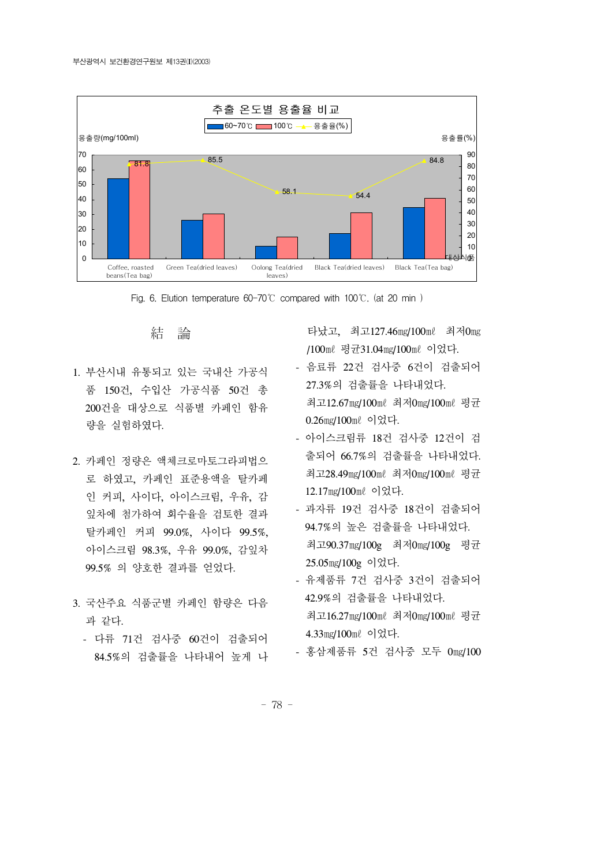



結 論

- 1. 부산시내 유통되고 있는 국내산 가공식 품 150건, 수입산 가공식품 50건 총 200건을 대상으로 식품별 카페인 함유 량을 실험하였다.
- 2. 카페인 정량은 액체크로마토그라피법으 로 하였고, 카페인 표준용액을 탈카페 인 커피, 사이다, 아이스크림, 우유, 감 잎차에 첨가하여 회수율을 검토한 결과 탈카페인 커피 99.0%, 사이다 99.5%, 아이스크림 98.3%, 우유 99.0%, 감잎차 99.5% 의 양호한 결과를 얻었다.
- 3. 국산주요 식품군별 카페인 함량은 다음 과 같다.
	- 다류 71건 검사중 60건이 검출되어 84.5%의 검출률을 나타내어 높게 나

타났고, 최고127.46㎎/100㎖ 최저0㎎ /100㎖ 평균31.04㎎/100㎖ 이었다.

- 음료류 22건 검사중 6건이 검출되어 27.3%의 검출률을 나타내었다. 최고12.67㎎/100㎖ 최저0㎎/100㎖ 평균 0.26㎎/100㎖ 이었다.
- 아이스크림류 18건 검사중 12건이 검 출되어 66.7%의 검출률을 나타내었다. 최고28.49㎎/100㎖ 최저0㎎/100㎖ 평균 12.17㎎/100㎖ 이었다.
- 과자류 19건 검사중 18건이 검출되어 94.7%의 높은 검출률을 나타내었다. 최고90.37㎎/100g 최저0㎎/100g 평균 25.05㎎/100g 이었다.
- 유제품류 7건 검사중 3건이 검출되어 42.9%의 검출률을 나타내었다. 최고16.27㎎/100㎖ 최저0㎎/100㎖ 평균
	- 4.33㎎/100㎖ 이었다.
- 홍삼제품류 5건 검사중 모두 0㎎/100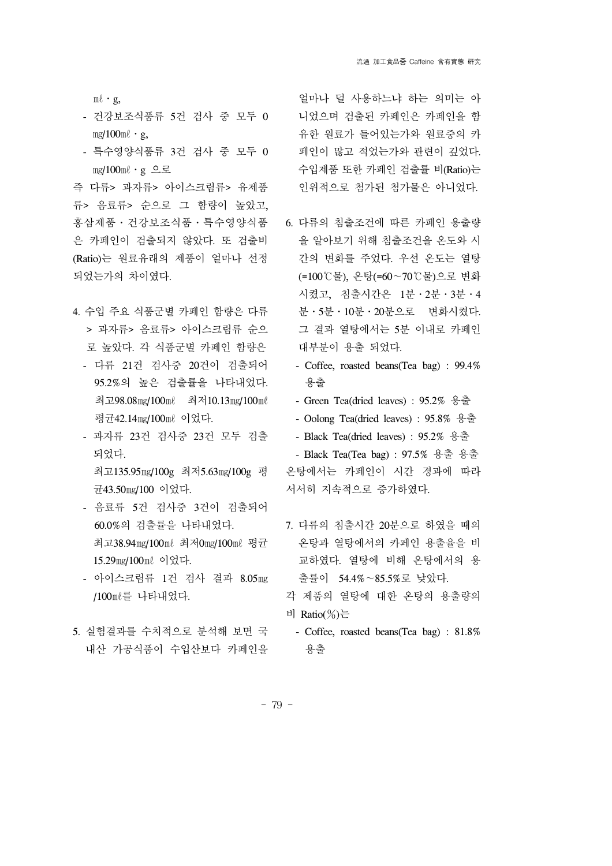$m\ell$  · g,

- 건강보조식품류 5건 검사 중 모두 0  $mg/100m\ell \cdot g$ ,
- 특수영양식품류 3건 검사 중 모두 0 ㎎/100㎖․g 으로

즉 다류> 과자류> 아이스크림류> 유제품 류> 음료류> 순으로 그 함량이 높았고, 홍삼제품․건강보조식품․특수영양식품 은 카페인이 검출되지 않았다. 또 검출비 (Ratio)는 원료유래의 제품이 얼마나 선정 되었는가의 차이였다.

- 4. 수입 주요 식품군별 카페인 함량은 다류 > 과자류> 음료류> 아이스크림류 순으 로 높았다. 각 식품군별 카페인 함량은
	- 다류 21건 검사중 20건이 검출되어 95.2%의 높은 검출률을 나타내었다. 최고98.08㎎/100㎖ 최저10.13㎎/100㎖ 평균42.14㎎/100㎖ 이었다.
	- 과자류 23건 검사중 23건 모두 검출 되었다. 최고135.95㎎/100g 최저5.63㎎/100g 평 균43.50㎎/100 이었다.
	- 음료류 5건 검사중 3건이 검출되어 60.0%의 검출률을 나타내었다. 최고38.94㎎/100㎖ 최저0㎎/100㎖ 평균 15.29㎎/100㎖ 이었다.
	- 아이스크림류 1건 검사 결과 8.05㎎ /100㎖를 나타내었다.
- 5. 실험결과를 수치적으로 분석해 보면 국 내산 가공식품이 수입산보다 카페인을

얼마나 덜 사용하느냐 하는 의미는 아 니었으며 검출된 카페인은 카페인을 함 유한 원료가 들어있는가와 원료중의 카 페인이 많고 적었는가와 관련이 깊었다. 수입제품 또한 카페인 검출률 비(Ratio)는 인위적으로 첨가된 첨가물은 아니었다.

- 6. 다류의 침출조건에 따른 카페인 용출량 을 알아보기 위해 침출조건을 온도와 시 간의 변화를 주었다. 우선 온도는 열탕 (=100℃물), 온탕(=60∼70℃물)으로 변화 시켰고, 침출시간은 1분․2분․3분․4 분․5분․10분․20분으로 변화시켰다. 그 결과 열탕에서는 5분 이내로 카페인 대부분이 용출 되었다.
	- Coffee, roasted beans(Tea bag) : 99.4% 용출
	- Green Tea(dried leaves) : 95.2% 용출
	- Oolong Tea(dried leaves) : 95.8% 용출
	- Black Tea(dried leaves) : 95.2% 용출
- Black Tea(Tea bag) : 97.5% 용출 용출 온탕에서는 카페인이 시간 경과에 따라 서서히 지속적으로 증가하였다.
- 7. 다류의 침출시간 20분으로 하였을 때의 온탕과 열탕에서의 카페인 용출율을 비 교하였다. 열탕에 비해 온탕에서의 용 출률이 54.4%∼85.5%로 낮았다.
- 각 제품의 열탕에 대한 온탕의 용출량의 비 Ratio(%)는
- Coffee, roasted beans(Tea bag) : 81.8% 용출